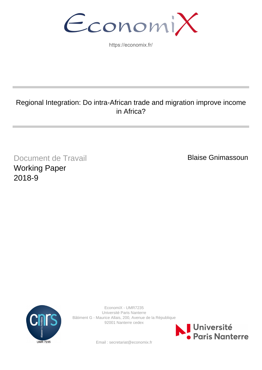EconomiX

https://economix.fr/

# Regional Integration: Do intra-African trade and migration improve income in Africa?

Document de Travail Working Paper 2018-9

Blaise Gnimassoun



EconomiX - UMR7235 Université Paris Nanterre Bâtiment G - Maurice Allais, 200, Avenue de la République 92001 Nanterre cedex



Email : secretariat@economix.fr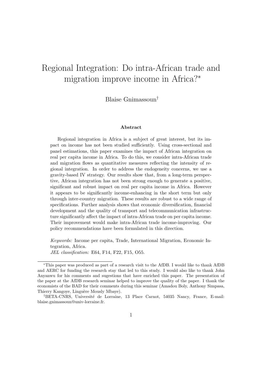# Regional Integration: Do intra-African trade and migration improve income in Africa?<sup>∗</sup>

Blaise Gnimassoun†

#### Abstract

Regional integration in Africa is a subject of great interest, but its impact on income has not been studied sufficiently. Using cross-sectional and panel estimations, this paper examines the impact of African integration on real per capita income in Africa. To do this, we consider intra-African trade and migration flows as quantitative measures reflecting the intensity of regional integration. In order to address the endogeneity concerns, we use a gravity-based IV strategy. Our results show that, from a long-term perspective, African integration has not been strong enough to generate a positive, significant and robust impact on real per capita income in Africa. However it appears to be significantly income-enhancing in the short term but only through inter-country migration. These results are robust to a wide range of specifications. Further analysis shows that economic diversification, financial development and the quality of transport and telecommunication infrastructure significantly affect the impact of intra-African trade on per capita income. Their improvement would make intra-African trade income-improving. Our policy recommendations have been formulated in this direction.

Keywords: Income per capita, Trade, International Migration, Economic Integration, Africa. JEL classification: E64, F14, F22, F15, O55.

<sup>∗</sup>This paper was produced as part of a research visit to the AfDB. I would like to thank AfDB and AERC for funding the research stay that led to this study. I would also like to thank John Anyanwu for his comments and sugestions that have enriched this paper. The presentation of the paper at the AfDB research seminar helped to improve the quality of the paper. I thank the economists of the BAD for their comments during this seminar (Amadou Boly, Anthony Simpasa, Thierry Kangoye, Linguère Mously Mbaye).

<sup>&</sup>lt;sup>†</sup>BETA-CNRS, Université de Lorraine, 13 Place Carnot, 54035 Nancy, France, E-mail: blaise.gnimassoun@univ-lorraine.fr.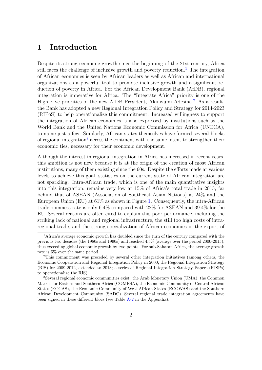# 1 Introduction

Despite its strong economic growth since the beginning of the 21st century, Africa still faces the challenge of inclusive growth and poverty reduction.<sup>[1](#page-2-0)</sup> The integration of African economies is seen by African leaders as well as African and international organizations as a powerful tool to promote inclusive growth and a significant reduction of poverty in Africa. For the African Development Bank (AfDB), regional integration is imperative for Africa. The "Integrate Africa" priority is one of the High Five priorities of the new AfDB President, Akinwumi Adesina.<sup>[2](#page-2-1)</sup> As a result, the Bank has adopted a new Regional Integration Policy and Strategy for 2014-2023 (RIPoS) to help operationalize this commitment. Increased willingness to support the integration of African economies is also expressed by institutions such as the World Bank and the United Nations Economic Commission for Africa (UNECA), to name just a few. Similarly, African states themselves have formed several blocks of regional integration<sup>[3](#page-2-2)</sup> across the continent with the same intent to strengthen their economic ties, necessary for their economic development.

Although the interest in regional integration in Africa has increased in recent years, this ambition is not new because it is at the origin of the creation of most African institutions, many of them existing since the 60s. Despite the efforts made at various levels to achieve this goal, statistics on the current state of African integration are not sparkling. Intra-African trade, which is one of the main quantitative insights into this integration, remains very low at 15% of Africa's total trade in 2015, far behind that of ASEAN (Association of Southeast Asian Nations) at 24% and the European Union (EU) at 61% as shown in Figure [1.](#page-3-0) Consequently, the intra-African trade openness rate is only 6.4% compared with 22% for ASEAN and 39.4% for the EU. Several reasons are often cited to explain this poor performance, including the striking lack of national and regional infrastructure, the still too high costs of intraregional trade, and the strong specialization of African economies in the export of

<span id="page-2-0"></span><sup>&</sup>lt;sup>1</sup>Africa's average economic growth has doubled since the turn of the century compared with the previous two decades (the 1980s and 1990s) and reached 4.5% (average over the period 2000-2015), thus exceeding global economic growth by two points. For sub-Saharan Africa, the average growth rate is 5% over the same period.

<span id="page-2-1"></span><sup>2</sup>This commitment was preceded by several other integration initiatives (among others, the Economic Cooperation and Regional Integration Policy in 2000; the Regional Integration Strategy (RIS) for 2009-2012, extended to 2013; a series of Regional Integration Strategy Papers (RISPs) to operationalize the RIS).

<span id="page-2-2"></span><sup>3</sup>Several regional economic communities exist: the Arab Monetary Union (UMA), the Common Market for Eastern and Southern Africa (COMESA), the Economic Community of Central African States (ECCAS), the Economic Community of West African States (ECOWAS) and the Southern African Development Community (SADC). Several regional trade integration agreements have been signed in these different blocs (see Table [A-2](#page-34-0) in the Appendix).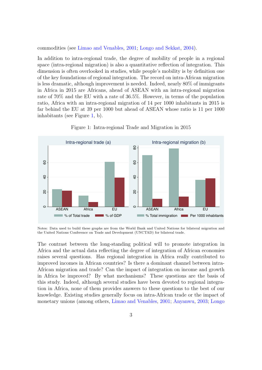commodities (see [Limao and Venables,](#page-37-0) [2001;](#page-37-0) [Longo and Sekkat,](#page-37-1) [2004\)](#page-37-1).

In addition to intra-regional trade, the degree of mobility of people in a regional space (intra-regional migration) is also a quantitative reflection of integration. This dimension is often overlooked in studies, while people's mobility is by definition one of the key foundations of regional integration. The record on intra-African migration is less dramatic, although improvement is needed. Indeed, nearly 80% of immigrants in Africa in 2015 are Africans, ahead of ASEAN with an intra-regional migration rate of 70% and the EU with a rate of 36.5%. However, in terms of the population ratio, Africa with an intra-regional migration of 14 per 1000 inhabitants in 2015 is far behind the EU at 39 per 1000 but ahead of ASEAN whose ratio is 11 per 1000 inhabitants (see Figure [1,](#page-3-0) b).

<span id="page-3-0"></span>

Figure 1: Intra-regional Trade and Migration in 2015

Notes: Data used to build these graphs are from the World Bank and United Nations for bilateral migration and the United Nations Conference on Trade and Development (UNCTAD) for bilateral trade.

The contrast between the long-standing political will to promote integration in Africa and the actual data reflecting the degree of integration of African economies raises several questions. Has regional integration in Africa really contributed to improved incomes in African countries? Is there a dominant channel between intra-African migration and trade? Can the impact of integration on income and growth in Africa be improved? By what mechanisms? These questions are the basis of this study. Indeed, although several studies have been devoted to regional integration in Africa, none of them provides answers to these questions to the best of our knowledge. Existing studies generally focus on intra-African trade or the impact of monetary unions (among others, [Limao and Venables,](#page-37-0) [2001;](#page-37-0) [Anyanwu,](#page-35-0) [2003;](#page-35-0) [Longo](#page-37-1)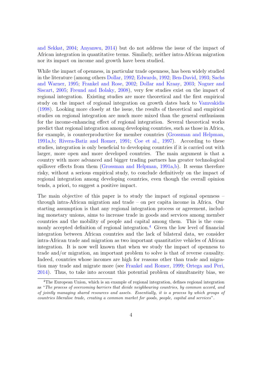[and Sekkat,](#page-37-1) [2004;](#page-37-1) [Anyanwu,](#page-35-1) [2014\)](#page-35-1) but do not address the issue of the impact of African integration in quantitative terms. Similarly, neither intra-African migration nor its impact on income and growth have been studied.

While the impact of openness, in particular trade openness, has been widely studied in the literature (among others [Dollar,](#page-36-0) [1992;](#page-36-0) [Edwards,](#page-36-1) [1992;](#page-36-1) [Ben-David,](#page-35-2) [1993;](#page-35-2) [Sachs](#page-38-0) [and Warner,](#page-38-0) [1995;](#page-38-0) [Frankel and Rose,](#page-36-2) [2002;](#page-36-2) [Dollar and Kraay,](#page-36-3) [2003;](#page-36-3) [Noguer and](#page-37-2) [Siscart,](#page-37-2) [2005;](#page-37-2) [Freund and Bolaky,](#page-36-4) [2008\)](#page-36-4), very few studies exist on the impact of regional integration. Existing studies are more theoretical and the first empirical study on the impact of regional integration on growth dates back to [Vamvakidis](#page-38-1) [\(1998\)](#page-38-1). Looking more closely at the issue, the results of theoretical and empirical studies on regional integration are much more mixed than the general enthusiasm for the income-enhancing effect of regional integration. Several theoretical works predict that regional integration among developing countries, such as those in Africa, for example, is counterproductive for member countries [\(Grossman and Helpman,](#page-36-5) [1991a,](#page-36-5)[b;](#page-36-6) [Rivera-Batiz and Romer,](#page-37-3) [1991;](#page-37-3) [Coe et al.,](#page-36-7) [1997\)](#page-36-7). According to these studies, integration is only beneficial to developing countries if it is carried out with larger, more open and more developed countries. The main argument is that a country with more advanced and bigger trading partners has greater technological spillover effects from them [\(Grossman and Helpman,](#page-36-5) [1991a,](#page-36-5)[b\)](#page-36-6). It seems therefore risky, without a serious empirical study, to conclude definitively on the impact of regional integration among developing countries, even though the overall opinion tends, a priori, to suggest a positive impact.

The main objective of this paper is to study the impact of regional openness – through intra-African migration and trade – on per capita income in Africa. Our starting assumption is that any regional integration process or agreement, including monetary unions, aims to increase trade in goods and services among member countries and the mobility of people and capital among them. This is the com-monly accepted definition of regional integration.<sup>[4](#page-4-0)</sup> Given the low level of financial integration between African countries and the lack of bilateral data, we consider intra-African trade and migration as two important quantitative vehicles of African integration. It is now well known that when we study the impact of openness to trade and/or migration, an important problem to solve is that of reverse causality. Indeed, countries whose incomes are high for reasons other than trade and migration may trade and migrate more (see [Frankel and Romer,](#page-36-8) [1999;](#page-36-8) [Ortega and Peri,](#page-37-4) [2014\)](#page-37-4). Thus, to take into account this potential problem of simultaneity bias, we

<span id="page-4-0"></span><sup>&</sup>lt;sup>4</sup>The European Union, which is an example of regional integration, defines regional integration as "The process of overcoming barriers that divide neighbouring countries, by common accord, and of jointly managing shared resources and assets. Essentially, it is a process by which groups of countries liberalise trade, creating a common market for goods, people, capital and services".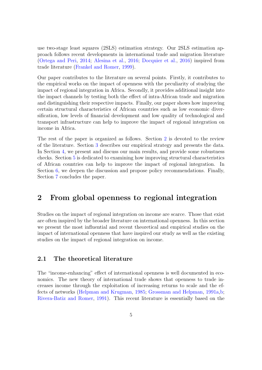use two-stage least squares (2SLS) estimation strategy. Our 2SLS estimation approach follows recent developments in international trade and migration literature [\(Ortega and Peri,](#page-37-4) [2014;](#page-37-4) [Alesina et al.,](#page-35-3) [2016;](#page-35-3) [Docquier et al.,](#page-36-9) [2016\)](#page-36-9) inspired from trade literature [\(Frankel and Romer,](#page-36-8) [1999\)](#page-36-8).

Our paper contributes to the literature on several points. Firstly, it contributes to the empirical works on the impact of openness with the peculiarity of studying the impact of regional integration in Africa. Secondly, it provides additional insight into the impact channels by testing both the effect of intra-African trade and migration and distinguishing their respective impacts. Finally, our paper shows how improving certain structural characteristics of African countries such as low economic diversification, low levels of financial development and low quality of technological and transport infrastructure can help to improve the impact of regional integration on income in Africa.

The rest of the paper is organized as follows. Section [2](#page-5-0) is devoted to the review of the literature. Section [3](#page-8-0) describes our empirical strategy and presents the data. In Section [4,](#page-14-0) we present and discuss our main results, and provide some robustness checks. Section [5](#page-22-0) is dedicated to examining how improving structural characteristics of African countries can help to improve the impact of regional integration. In Section [6,](#page-28-0) we deepen the discussion and propose policy recommendations. Finally, Section [7](#page-31-0) concludes the paper.

## <span id="page-5-0"></span>2 From global openness to regional integration

Studies on the impact of regional integration on income are scarce. Those that exist are often inspired by the broader literature on international openness. In this section we present the most influential and recent theoretical and empirical studies on the impact of international openness that have inspired our study as well as the existing studies on the impact of regional integration on income.

## 2.1 The theoretical literature

The "income-enhancing" effect of international openness is well documented in economics. The new theory of international trade shows that openness to trade increases income through the exploitation of increasing returns to scale and the effects of networks [\(Helpman and Krugman,](#page-37-5) [1985;](#page-37-5) [Grossman and Helpman,](#page-36-5) [1991a](#page-36-5)[,b;](#page-36-6) [Rivera-Batiz and Romer,](#page-37-3) [1991\)](#page-37-3). This recent literature is essentially based on the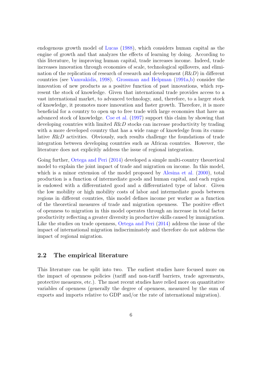endogenous growth model of [Lucas](#page-37-6) [\(1988\)](#page-37-6), which considers human capital as the engine of growth and that analyzes the effects of learning by doing. According to this literature, by improving human capital, trade increases income. Indeed, trade increases innovation through economies of scale, technological spillovers, and elimination of the replication of research of research and development (R&D) in different countries (see [Vamvakidis,](#page-38-1) [1998\)](#page-38-1). [Grossman and Helpman](#page-36-5) [\(1991a,](#page-36-5)[b\)](#page-36-6) consider the innovation of new products as a positive function of past innovations, which represent the stock of knowledge. Given that international trade provides access to a vast international market, to advanced technology, and, therefore, to a larger stock of knowledge, it promotes more innovation and faster growth. Therefore, it is more beneficial for a country to open up to free trade with large economies that have an advanced stock of knowledge. [Coe et al.](#page-36-7) [\(1997\)](#page-36-7) support this claim by showing that developing countries with limited  $R\&D$  stocks can increase productivity by trading with a more developed country that has a wide range of knowledge from its cumulative  $R\&D$  activities. Obviously, such results challenge the foundations of trade integration between developing countries such as African countries. However, the literature does not explicitly address the issue of regional integration.

Going further, [Ortega and Peri](#page-37-4) [\(2014\)](#page-37-4) developed a simple multi-country theoretical model to explain the joint impact of trade and migration on income. In this model, which is a minor extension of the model proposed by [Alesina et al.](#page-35-4) [\(2000\)](#page-35-4), total production is a function of intermediate goods and human capital, and each region is endowed with a differentiated good and a differentiated type of labor. Given the low mobility or high mobility costs of labor and intermediate goods between regions in different countries, this model defines income per worker as a function of the theoretical measures of trade and migration openness. The positive effect of openness to migration in this model operates through an increase in total factor productivity reflecting a greater diversity in productive skills caused by immigration. Like the studies on trade openness, [Ortega and Peri](#page-37-4) [\(2014\)](#page-37-4) address the issue of the impact of international migration indiscriminately and therefore do not address the impact of regional migration.

### 2.2 The empirical literature

This literature can be split into two. The earliest studies have focused more on the impact of openness policies (tariff and non-tariff barriers, trade agreements, protective measures, etc.). The most recent studies have relied more on quantitative variables of openness (generally the degree of openness, measured by the sum of exports and imports relative to GDP and/or the rate of international migration).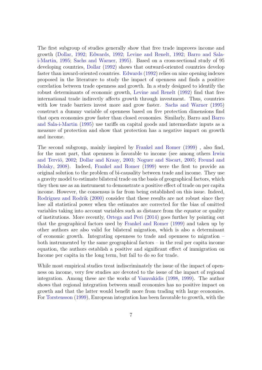The first subgroup of studies generally show that free trade improves income and growth [\(Dollar,](#page-36-0) [1992;](#page-36-0) [Edwards,](#page-36-1) [1992;](#page-36-1) [Levine and Renelt,](#page-37-7) [1992;](#page-37-7) [Barro and Sala](#page-35-5)[i-Martin,](#page-35-5) [1995;](#page-35-5) [Sachs and Warner,](#page-38-0) [1995\)](#page-38-0). Based on a cross-sectional study of 95 developing countries, [Dollar](#page-36-0) [\(1992\)](#page-36-0) shows that outward-oriented countries develop faster than inward-oriented countries. [Edwards](#page-36-1) [\(1992\)](#page-36-1) relies on nine opening indexes proposed in the literature to study the impact of openness and finds a positive correlation between trade openness and growth. In a study designed to identify the robust determinants of economic growth, [Levine and Renelt](#page-37-7) [\(1992\)](#page-37-7) find that free international trade indirectly affects growth through investment. Thus, countries with low trade barriers invest more and grow faster. [Sachs and Warner](#page-38-0) [\(1995\)](#page-38-0) construct a dummy variable of openness based on five protection dimensions find that open economies grow faster than closed economies. Similarly, Barro and [Barro](#page-35-5) [and Sala-i-Martin](#page-35-5) [\(1995\)](#page-35-5) use tariffs on capital goods and intermediate inputs as a measure of protection and show that protection has a negative impact on growth and income.

The second subgroup, mainly inspired by [Frankel and Romer](#page-36-8) [\(1999\)](#page-36-8) , also find, for the most part, that openness is favorable to income (see among others [Irwin](#page-37-8) and Terviö, [2002;](#page-37-8) [Dollar and Kraay,](#page-36-3) [2003;](#page-36-3) [Noguer and Siscart,](#page-37-2) [2005;](#page-37-2) [Freund and](#page-36-4) [Bolaky,](#page-36-4) [2008\)](#page-36-4). Indeed, [Frankel and Romer](#page-36-8) [\(1999\)](#page-36-8) were the first to provide an original solution to the problem of bi-causality between trade and income. They use a gravity model to estimate bilateral trade on the basis of geographical factors, which they then use as an instrument to demonstrate a positive effect of trade on per capita income. However, the consensus is far from being established on this issue. Indeed, [Rodriguez and Rodrik](#page-37-9) [\(2000\)](#page-37-9) consider that these results are not robust since they lose all statistical power when the estimates are corrected for the bias of omitted variables taking into account variables such as distance from the equator or quality of institutions. More recently, [Ortega and Peri](#page-37-4) [\(2014\)](#page-37-4) goes further by pointing out that the geographical factors used by [Frankel and Romer](#page-36-8) [\(1999\)](#page-36-8) and taken up by other authors are also valid for bilateral migration, which is also a determinant of economic growth. Integrating openness to trade and openness to migration – both instrumented by the same geographical factors – in the real per capita income equation, the authors establish a positive and significant effect of immigration on Income per capita in the long term, but fail to do so for trade.

While most empirical studies treat indiscriminately the issue of the impact of openness on income, very few studies are devoted to the issue of the impact of regional integration. Among these are the works of [Vamvakidis](#page-38-1) [\(1998,](#page-38-1) [1999\)](#page-38-2). The author shows that regional integration between small economies has no positive impact on growth and that the latter would benefit more from trading with large economies. For [Torstensson](#page-38-3) [\(1999\)](#page-38-3), European integration has been favorable to growth, with the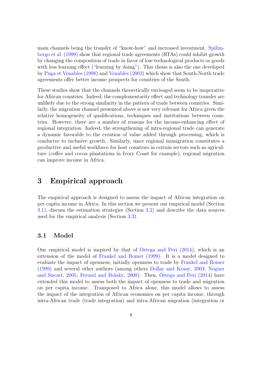main channels being the transfer of "know-how" and increased investment. [Spilim](#page-38-4)[bergo et al.](#page-38-4) [\(1999\)](#page-38-4) show that regional trade agreements (RTAs) could inhibit growth by changing the composition of trade in favor of low-technological products or goods with less learning effect ("learning by doing"). This thesis is also the one developed by [Puga et Venables](#page-37-10) [\(1998\)](#page-37-10) and [Venables](#page-38-5) [\(2003\)](#page-38-5) which show that South-North trade agreements offer better income prospects for countries of the South.

These studies show that the channels theoretically envisaged seem to be inoperative for African countries. Indeed, the complementarity effect and technology transfer are unlikely due to the strong similarity in the pattern of trade between countries. Similarly, the migration channel presented above is not very relevant for Africa given the relative homogeneity of qualifications, techniques and institutions between countries. However, there are a number of reasons for the income-enhancing effect of regional integration. Indeed, the strengthening of intra-regional trade can generate a dynamic favorable to the creation of value added through processing, which is conducive to inclusive growth. Similarly, since regional immigration constitutes a productive and useful workforce for host countries in certain sectors such as agriculture (coffee and cocoa plantations in Ivory Coast for example), regional migration can improve income in Africa.

# <span id="page-8-0"></span>3 Empirical approach

The empirical approach is designed to assess the impact of African integration on per capita income in Africa. In this section we present our empirical model (Section [3.1\)](#page-8-1), discuss the estimation strategies (Section [3.2\)](#page-9-0) and describe the data sources used for the empirical analysis (Section [3.3\)](#page-12-0).

#### <span id="page-8-1"></span>3.1 Model

Our empirical model is inspired by that of [Ortega and Peri](#page-37-4) [\(2014\)](#page-37-4), which is an extension of the model of [Frankel and Romer](#page-36-8) [\(1999\)](#page-36-8). It is a model designed to evaluate the impact of openness, initially openness to trade by [Frankel and Romer](#page-36-8) [\(1999\)](#page-36-8) and several other authors (among others [Dollar and Kraay,](#page-36-3) [2003;](#page-36-3) [Noguer](#page-37-2) [and Siscart,](#page-37-2) [2005;](#page-37-2) [Freund and Bolaky,](#page-36-4) [2008\)](#page-36-4). Then, [Ortega and Peri](#page-37-4) [\(2014\)](#page-37-4) have extended this model to assess both the impact of openness to trade and migration on per capita income. Transposed to Africa alone, this model allows to assess the impact of the integration of African economies on per capita income, through intra-African trade (trade integration) and intra-African migration (integration or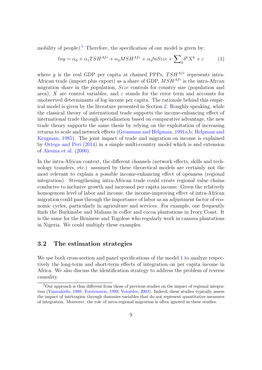mobility of people).<sup>[5](#page-9-1)</sup> Therefore, the specification of our model is given by:

<span id="page-9-2"></span>
$$
ln y = \alpha_0 + \alpha_1 T S H^{Afr} + \alpha_2 M S H^{Afr} + \alpha_3 ln Size + \sum_{k} \delta^k X^k + \varepsilon
$$
 (1)

where y is the real GDP per capita at chained PPPs,  $T S H^{Afr}$  represents intra-African trade (import plus export) as a share of GDP,  $MSH^{Afr}$  is the intra-Afrcan migration share in the population, Size controls for country size (population and area), X are control variables, and  $\varepsilon$  stands for the error term and accounts for unobserved determinants of log income per capita. The rationale behind this empirical model is given by the literature presented in Section [2.](#page-5-0) Roughly speaking, while the classical theory of international trade supports the income-enhancing effect of international trade through specialization based on comparative advantage, the new trade theory supports the same thesis by relying on the exploitation of increasing returns to scale and network effects [\(Grossman and Helpman,](#page-36-5) [1991a,](#page-36-5)[b;](#page-36-6) [Helpman and](#page-37-5) [Krugman,](#page-37-5) [1985\)](#page-37-5). The joint impact of trade and migration on income is explained by [Ortega and Peri](#page-37-4) [\(2014\)](#page-37-4) in a simple multi-country model which is and extension of [Alesina et al.](#page-35-4) [\(2000\)](#page-35-4).

In the intra-African context, the different channels (network effects, skills and technology transfers, etc.) assumed by these theoretical models are certainly not the most relevant to explain a possible income-enhancing effect of openness (regional integration). Strengthening intra-African trade could create regional value chains conducive to inclusive growth and increased per capita income. Given the relatively homogenous level of labor and income, the income-improving effect of intra-African migration could pass through the importance of labor as an adjustment factor of economic cycles, particularly in agriculture and services. For example, one frequently finds the Burkinabe and Malians in coffee and cocoa plantations in Ivory Coast. It is the same for the Beninese and Togolese who regularly work in cassava plantations in Nigeria. We could multiply these examples.

#### <span id="page-9-0"></span>3.2 The estimation strategies

We use both cross-section and panel specifications of the model [1](#page-9-2) to analyze respectively the long-term and short-term effects of integration on per capita income in Africa. We also discuss the identification strategy to address the problem of reverse causality.

<span id="page-9-1"></span><sup>&</sup>lt;sup>5</sup>Our approach is thus different from those of previous studies on the impact of regional integration [\(Vamvakidis,](#page-38-1) [1998;](#page-38-1) [Torstensson,](#page-38-3) [1999;](#page-38-3) [Venables,](#page-38-5) [2003\)](#page-38-5). Indeed, these studies typically assess the impact of intertragion through dummies variables that do not represent quantitative measures of integration. Moreover, the role of intra-regional migration is often ignored in these studies.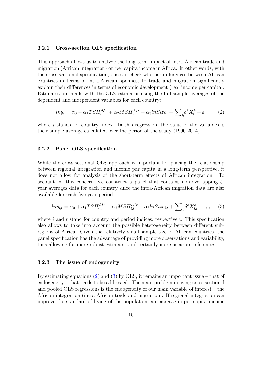#### 3.2.1 Cross-section OLS specification

This approach allows us to analyze the long-term impact of intra-African trade and migration (African integration) on per capita income in Africa. In other words, with the cross-sectional specification, one can check whether differences between African countries in terms of intra-African openness to trade and migration significantly explain their differences in terms of economic development (real income per capita). Estimates are made with the OLS estimator using the full-sample averages of the dependent and independent variables for each country:

<span id="page-10-0"></span>
$$
ln y_i = \alpha_0 + \alpha_1 T S H_i^{Afr} + \alpha_2 M S H_i^{Afr} + \alpha_3 ln Size_i + \sum_k \delta^k X_i^k + \varepsilon_i \tag{2}
$$

where  $i$  stands for country index. In this regression, the value of the variables is their simple average calculated over the period of the study (1990-2014).

#### 3.2.2 Panel OLS specification

While the cross-sectional OLS approach is important for placing the relationship between regional integration and income par capita in a long-term perspective, it does not allow for analysis of the short-term effects of African integration. To account for this concern, we construct a panel that contains non-overlapping 5 year averages data for each country since the intra-African migration data are also available for each five-year period.

<span id="page-10-1"></span>
$$
ln y_{i,t} = \alpha_0 + \alpha_1 TS H_{i,t}^{Afr} + \alpha_2 M S H_{i,t}^{Afr} + \alpha_3 ln Size_{i,t} + \sum_{k} \delta^k X_{i,t}^k + \varepsilon_{i,t} \tag{3}
$$

where  $i$  and  $t$  stand for country and period indices, respectively. This specification also allows to take into account the possible heterogeneity between different subregions of Africa. Given the relatively small sample size of African countries, the panel specification has the advantage of providing more observations and variability, thus allowing for more robust estimates and certainly more accurate inferences.

#### 3.2.3 The issue of endogeneity

By estimating equations [\(2\)](#page-10-0) and [\(3\)](#page-10-1) by OLS, it remains an important issue – that of endogeneity – that needs to be addressed. The main problem in using cross-sectional and pooled OLS regressions is the endogeneity of our main variable of interest – the African integration (intra-African trade and migration). If regional integration can improve the standard of living of the population, an increase in per capita income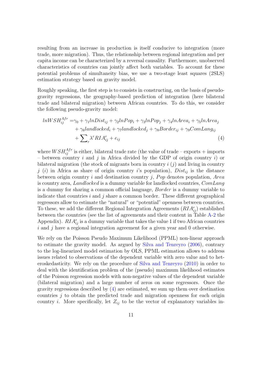resulting from an increase in production is itself conducive to integration (more trade, more migration). Thus, the relationship between regional integration and per capita income can be characterized by a reversal causality. Furthermore, unobserved characteristics of countries can jointly affect both variables. To account for these potential problems of simultaneity bias, we use a two-stage least squares (2SLS) estimation strategy based on gravity model.

Roughly speaking, the first step is to consists in constructing, on the basis of pseudogravity regressions, the geography-based prediction of integration (here bilateral trade and bilateral migration) between African countries. To do this, we consider the following pseudo-gravity model:

<span id="page-11-0"></span>
$$
lnWSH_{ij}^{Afr} = \gamma_0 + \gamma_1 lnDist_{ij} + \gamma_2 lnPop_i + \gamma_3 lnPop_j + \gamma_4 lnArea_i + \gamma_5 lnArea_j
$$
  
+  $\gamma_6 landlocked_i + \gamma_7 landlocked_j + \gamma_8 Border_{ij} + \gamma_9 ComLang_{ij}$   
+  $\sum_r \lambda^r RIA_{ij}^r + e_{ij}$  (4)

where  $WSH_{ij}^{Afr}$  is either, bilateral trade rate (the value of trade – exports + imports – between country i and j in Africa divided by the GDP of origin country i) or bilateral migration (the stock of migrants born in country  $i(j)$  and living in country j (i) in Africa as share of origin country i's population),  $Dist_{ij}$  is the distance between origin country i and destination country j,  $Pop$  denotes population, Area is country area, Landlocked is a dummy variable for landlocked countries, ComLang is a dummy for sharing a common official language, Border is a dummy variable to indicate that countries  $i$  and  $j$  share a common border. These different geographical regressors allow to estimate the "natural" or "potential" openness between countries. To these, we add the different Regional Integration Agreements  $(RIA_{ij}^r)$  established between the countries (see the list of agreements and their content in Table [A-2](#page-34-0) the Appendix).  $RIA_{ij}^r$  is a dummy variable that takes the value 1 if two African countries  $i$  and  $j$  have a regional integration agreement for a given year and  $0$  otherwise.

We rely on the Poisson Pseudo Maximum Likelihood (PPML) non-linear approach to estimate the gravity model. As argued by [Silva and Tenreyro](#page-38-6) [\(2006\)](#page-38-6), contrary to the log-linearized model estimation by OLS, PPML estimation allows to address issues related to observations of the dependent variable with zero value and to heteroskedasticity. We rely on the procedure of [Silva and Tenreyro](#page-38-7) [\(2010\)](#page-38-7) in order to deal with the identification problem of the (pseudo) maximum likelihood estimates of the Poisson regression models with non-negative values of the dependent variable (bilateral migration) and a large number of zeros on some regressors. Once the gravity regressions described by [\(4\)](#page-11-0) are estimated, we sum up them over destination countries  $j$  to obtain the predicted trade and migration openness for each origin country *i*. More specifically, let  $Z_{ij}$  to be the vector of explanatory variables in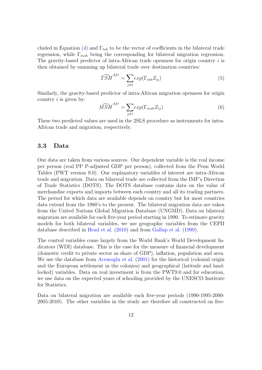cluded in Equation [\(4\)](#page-11-0) and  $\Gamma_{tsh}$  to be the vector of coefficients in the bilateral trade regression, while  $\Gamma_{msh}$  being the corresponding for bilateral migration regression. The gravity-based predictor of intra-African trade openness for origin country  $i$  is then obtained by summing up bilateral trade over destination countries:

$$
\widehat{TSH}^{Afr} = \sum_{j \neq i} exp(\Gamma_{tsh} Z_{ij}) \tag{5}
$$

Similarly, the gravity-based predictor of intra-African migration openness for origin country  $i$  is given by:

$$
\widehat{MSH}^{Afr} = \sum_{j \neq i} exp(\Gamma_{msh} Z_{ij}) \tag{6}
$$

These two predicted values are used in the 2SLS procedure as instruments for intra-African trade and migration, respectively.

### <span id="page-12-0"></span>3.3 Data

Our data are taken from various sources. Our dependent variable is the real income per person (real PP P-adjusted GDP per person), collected from the Penn World Tables (PWT version 9.0). Our explanatory variables of interest are intra-African trade and migration. Data on bilareral trade are collected from the IMF's Direction of Trade Statistics (DOTS). The DOTS database contains data on the value of merchandise exports and imports between each country and all its trading partners. The period for which data are available depends on country but for most countries data extend from the 1980's to the present. The bilateral migration data are taken from the United Nations Global Migration Database (UNGMD). Data on bilateral migration are available for each five-year period starting in 1990. To estimate gravity models for both bilateral variables, we use geographic variables from the CEPII database described in [Head et al.](#page-37-11) [\(2010\)](#page-37-11) and from [Gallup et al.](#page-36-10) [\(1999\)](#page-36-10).

The control variables come largely from the World Bank's World Development Indicators (WDI) database. This is the case for the measure of financial development (domestic credit to private sector as share of GDP), inflation, population and area. We use the database from [Acemoglu et al.](#page-35-6)  $(2001)$  for the historical (colonial origin and the European settlement in the colonies) and geographical (latitude and landlocked) variables. Data on real investment is from the PWT9.0 and for education, we use data on the expected years of schooling provided by the UNESCO Institute for Statistics.

Data on bilateral migration are available each five-year periods (1990-1995-2000- 2005-2010). The other variables in the study are therefore all constructed on five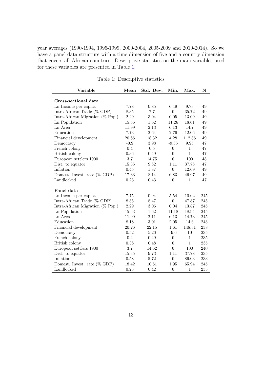year averages (1990-1994, 1995-1999, 2000-2004, 2005-2009 and 2010-2014). So we have a panel data structure with a time dimension of five and a country dimension that covers all African countries. Descriptive statistics on the main variables used for these variables are presented in Table [1.](#page-13-0)

<span id="page-13-0"></span>

| Variable                         | Mean   | Std. Dev. | Min.           | Max.         | N   |
|----------------------------------|--------|-----------|----------------|--------------|-----|
|                                  |        |           |                |              |     |
| Cross-sectional data             |        |           |                |              |     |
| Ln Income per capita             | 7.78   | 0.85      | 6.49           | 9.73         | 49  |
| Intra-African Trade $(\%$ GDP)   | 8.35   | 7.7       | $\theta$       | 35.72        | 49  |
| Intra-African Migration (% Pop.) | 2.29   | 3.04      | 0.05           | 13.09        | 49  |
| Ln Population                    | 15.56  | 1.62      | 11.26          | 18.61        | 49  |
| Ln Area                          | 11.99  | 2.13      | 6.13           | 14.7         | 49  |
| Education                        | 7.73   | 2.64      | 2.76           | 12.06        | 49  |
| Financial development            | 20.66  | 18.32     | 4.28           | 112.86       | 49  |
| Democracy                        | $-0.9$ | 3.98      | $-9.35$        | 9.95         | 47  |
| French colony                    | 0.4    | 0.5       | $\theta$       | $\mathbf{1}$ | 47  |
| British colony                   | 0.36   | 0.49      | $\theta$       | $\mathbf{1}$ | 47  |
| European settlers 1900           | 3.7    | 14.75     | $\Omega$       | 100          | 48  |
| Dist. to equator                 | 15.35  | 9.82      | 1.11           | 37.78        | 47  |
| Inflation                        | 0.45   | 1.87      | $\overline{0}$ | 12.69        | 49  |
| Domest. Invest. rate $(\%$ GDP)  | 17.33  | 8.14      | 6.83           | 46.97        | 49  |
| Landlocked                       | 0.23   | 0.43      | $\overline{0}$ | $\mathbf{1}$ | 47  |
| Panel data                       |        |           |                |              |     |
| Ln Income per capita             | 7.75   | 0.94      | 5.54           | 10.62        | 245 |
| Intra-African Trade $(\%$ GDP)   | 8.35   | 8.47      | $\overline{0}$ | 47.87        | 245 |
| Intra-African Migration (% Pop.) | 2.29   | 3.06      | 0.04           | 13.87        | 245 |
| Ln Population                    | 15.63  | 1.62      | 11.18          | 18.94        | 245 |
| Ln Area                          | 11.99  | 2.11      | 6.13           | 14.73        | 245 |
| Education                        | 8.18   | 3.01      | 2.05           | 14.6         | 243 |
| Financial development            | 20.26  | 22.15     | 1.61           | 148.31       | 238 |
| Democracy                        | 0.52   | 5.26      | $-9.6$         | 10           | 235 |
| French colony                    | 0.4    | 0.49      | $\theta$       | $\mathbf{1}$ | 235 |
| British colony                   | 0.36   | 0.48      | $\theta$       | $\mathbf{1}$ | 235 |
| European settlers 1900           | 3.7    | 14.62     | $\overline{0}$ | 100          | 240 |
| Dist. to equator                 | 15.35  | 9.73      | 1.11           | 37.78        | 235 |
| Inflation                        | 0.58   | 5.72      | $\theta$       | 86.03        | 233 |
|                                  |        |           |                |              |     |
| Domest. Invest. rate $(\%$ GDP)  | 18.42  | 10.51     | 1.95           | 65.94        | 245 |
| Landlocked                       | 0.23   | 0.42      | $\theta$       | $\mathbf{1}$ | 235 |

Table 1: Descriptive statistics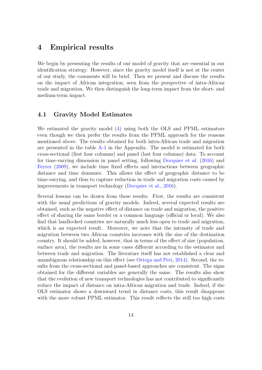## <span id="page-14-0"></span>4 Empirical results

We begin by presenting the results of our model of gravity that are essential in our identification strategy. However, since the gravity model itself is not at the center of our study, the comments will be brief. Then we present and discuss the results on the impact of African integration, seen from the perspective of intra-African trade and migration. We then distinguish the long-term impact from the short- and medium-term impact.

### 4.1 Gravity Model Estimates

We estimated the gravity model [\(4\)](#page-11-0) using both the OLS and PPML estimators even though we then prefer the results from the PPML approach for the reasons mentioned above. The results obtained for both intra-African trade and migration are presented in the table [A-1](#page-33-0) in the Appendix. The model is estimated for both cross-sectional (first four columns) and panel (last four columns) data. To account for time-varying dimension in panel setting, following [Docquier et al.](#page-36-9) [\(2016\)](#page-36-9) and [Feyrer](#page-36-11) [\(2009\)](#page-36-11), we include time fixed effects and interactions between geographic distance and time dummies. This allows the effect of geographic distance to be time-varying, and thus to capture reduction in trade and migration costs caused by improvements in transport technology [\(Docquier et al.,](#page-36-9) [2016\)](#page-36-9).

Several lessons can be drawn from these results. First, the results are consistent with the usual predictions of gravity models. Indeed, several expected results are obtained, such as the negative effect of distance on trade and migration, the positive effect of sharing the same border or a common language (official or local). We also find that landlocked countries are naturally much less open to trade and migration, which is an expected result. Moreover, we note that the intensity of trade and migration between two African countries increases with the size of the destination country. It should be added, however, that in terms of the effect of size (population, surface area), the results are in some cases different according to the estimator and between trade and migration. The literature itself has not established a clear and unambiguous relationship on this effect (see [Ortega and Peri,](#page-37-4) [2014\)](#page-37-4). Second, the results from the cross-sectional and panel-based approaches are consistent. The signs obtained for the different variables are generally the same. The results also show that the evolution of new transport technologies has not contributed to significantly reduce the impact of distance on intra-African migration and trade. Indeed, if the OLS estimator shows a downward trend in distance costs, this result disappears with the more robust PPML estimator. This result reflects the still too high costs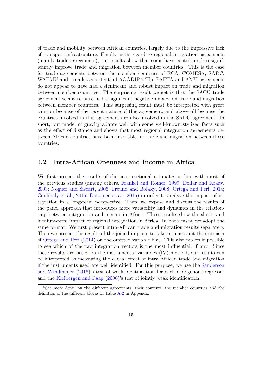of trade and mobility between African countries, largely due to the impressive lack of transport infrastructure. Finally, with regard to regional integration agreements (mainly trade agreements), our results show that some have contributed to significantly improve trade and migration between member countries. This is the case for trade agreements between the member countries of ECA, COMESA, SADC, WAEMU and, to a lesser extent, of AGADIR.<sup>[6](#page-15-0)</sup> The PAFTA and AMU agreements do not appear to have had a significant and robust impact on trade and migration between member countries. The surprising result we get is that the SACU trade agreement seems to have had a significant negative impact on trade and migration between member countries. This surprising result must be interpreted with great caution because of the recent nature of this agreement, and above all because the countries involved in this agreement are also involved in the SADC agreement. In short, our model of gravity adapts well with some well-known stylized facts such as the effect of distance and shows that most regional integration agreements between African countries have been favorable for trade and migration between these countries.

#### 4.2 Intra-African Openness and Income in Africa

We first present the results of the cross-sectional estimates in line with most of the previous studies (among others, [Frankel and Romer,](#page-36-8) [1999;](#page-36-8) [Dollar and Kraay,](#page-36-3) [2003;](#page-36-3) [Noguer and Siscart,](#page-37-2) [2005;](#page-37-2) [Freund and Bolaky,](#page-36-4) [2008;](#page-36-4) [Ortega and Peri,](#page-37-4) [2014;](#page-37-4) [Coulibaly et al.,](#page-36-12) [2016;](#page-36-12) [Docquier et al.,](#page-36-9) [2016\)](#page-36-9) in order to analyze the impact of integration in a long-term perspective. Then, we expose and discuss the results of the panel approach that introduces more variability and dynamics in the relationship between integration and income in Africa. These results show the short- and medium-term impact of regional integration in Africa. In both cases, we adopt the same format. We first present intra-African trade and migration results separately. Then we present the results of the joined impacts to take into account the criticism of [Ortega and Peri](#page-37-4) [\(2014\)](#page-37-4) on the omitted variable bias. This also makes it possible to see which of the two integration vectors is the most influential, if any. Since these results are based on the instrumental variables (IV) method, our results can be interpreted as measuring the causal effect of intra-African trade and migration if the instruments used are well identified. For this purpose, we use the [Sanderson](#page-38-8) [and Windmeijer](#page-38-8) [\(2016\)](#page-38-8)'s test of weak identification for each endogenous regressor and the [Kleibergen and Paap](#page-37-12) [\(2006\)](#page-37-12)'s test of jointly weak identification.

<span id="page-15-0"></span><sup>6</sup>See more detail on the different agreements, their contents, the member countries and the definition of the different blocks in Table [A-2](#page-34-0) in Appendix.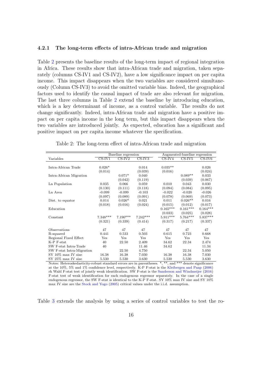#### 4.2.1 The long-term effects of intra-African trade and migration

Table [2](#page-16-0) presents the baseline results of the long-term impact of regional integration in Africa. These results show that intra-African trade and migration, taken separately (columns CS-IV1 and CS-IV2), have a low significance impact on per capita income. This impact disappears when the two variables are considered simultaneously (Column CS-IV3) to avoid the omitted variable bias. Indeed, the geographical factors used to identify the causal impact of trade are also relevant for migration. The last three columns in Table [2](#page-16-0) extend the baseline by introducing education, which is a key determinant of income, as a control variable. The results do not change significantly. Indeed, intra-African trade and migration have a positive impact on per capita income in the long term, but this impact disappears when the two variables are introduced jointly. As expected, education has a significant and positive impact on per capita income whatever the specification.

Table 2: The long-term effect of intra-African trade and migration

<span id="page-16-0"></span>

|                           |            | Baseline regression        |                            |            | Augmented-baseline regression |              |
|---------------------------|------------|----------------------------|----------------------------|------------|-------------------------------|--------------|
| Variables                 | $CS$ -IV1  | $\overline{\text{CS-IV2}}$ | $\overline{\text{CS-IV3}}$ | $CS$ -IV4  | $CS$ -IV5                     | $CS$ -IV $6$ |
|                           |            |                            |                            |            |                               |              |
| Intra-African Trade       | $0.026*$   |                            | 0.014                      | $0.035**$  |                               | 0.026        |
|                           | (0.014)    |                            | (0.039)                    | (0.016)    |                               | (0.024)      |
| Intra-African Migration   |            | $0.071*$                   | 0.040                      |            | $0.089**$                     | 0.033        |
|                           |            | (0.042)                    | (0.119)                    |            | (0.039)                       | (0.067)      |
| Ln Population             | 0.035      | 0.066                      | 0.059                      | 0.010      | 0.043                         | 0.030        |
|                           | (0.130)    | (0.111)                    | (0.118)                    | (0.094)    | (0.084)                       | (0.095)      |
| Ln Area                   | $-0.099$   | $-0.099$                   | $-0.103$                   | $-0.022$   | $-0.020$                      | $-0.026$     |
|                           | (0.097)    | (0.089)                    | (0.091)                    | (0.078)    | (0.069)                       | (0.073)      |
| Dist. to equator          | 0.014      | $0.026*$                   | 0.021                      | 0.011      | $0.026**$                     | 0.016        |
|                           | (0.018)    | (0.016)                    | (0.024)                    | (0.015)    | (0.012)                       | (0.017)      |
| Education                 |            |                            |                            | $0.165***$ | $0.161***$                    | $0.164***$   |
|                           |            |                            |                            | (0.033)    | (0.025)                       | (0.028)      |
| Constant                  | $7.348***$ | $7.190***$                 | $7.242***$                 | $5.911***$ | $5.764***$                    | $5.837***$   |
|                           | (0.321)    | (0.339)                    | (0.414)                    | (0.317)    | (0.217)                       | (0.337)      |
|                           | 47         |                            |                            | 47         |                               |              |
| Observations              |            | 47                         | 47                         |            | 47<br>0.723                   | 47           |
| R-squared                 | 0.441      | 0.533                      | 0.503                      | 0.615      |                               | 0.668        |
| Regional Fixed Effect     | Yes        | Yes                        | Yes                        | Yes        | Yes                           | Yes          |
| $K-P$ F-stat              | 40         | 22.50                      | 2.409                      | 34.62      | 22.34                         | 2.474        |
| SW F-stat Intra-Trade     | 40         |                            | 11.46                      | 34.62      |                               | 11.34        |
| SW F-stat Intra-Migration |            | 22.50                      | 4.750                      |            | 22.34                         | 5.050        |
| $SY$ 10% max IV size      | 16.38      | 16.38                      | 7.030                      | 16.38      | 16.38                         | 7.030        |
| SY 25\% max IV size       | 5.530      | 5.530                      | 3.630                      | 5.530      | 5.530                         | 3.630        |

Notes: Heteroskedasticity-robust standard errors are in parentheses. \*, \*\*, and \*\*\* denote significance at the 10%, 5% and 1% confidence level, respectively. K-P F-stat is the [Kleibergen and Paap](#page-37-12) [\(2006\)](#page-37-12) rk Wald F-stat test of jointly weak identification. SW F-stat is the [Sanderson and Windmeijer](#page-38-8) [\(2016\)](#page-38-8) F-stat test of weak identification for each endogenous regressor separately. In the case of a single endogenous regressor, the SW F-stat is identical to the K-P F-stat. SY 10% max IV size and SY 10% max IV size are the [Stock and Yogo](#page-38-9) [\(2005\)](#page-38-9) critical values under the i.i.d. assumption.

Table [3](#page-17-0) extends the analysis by using a series of control variables to test the ro-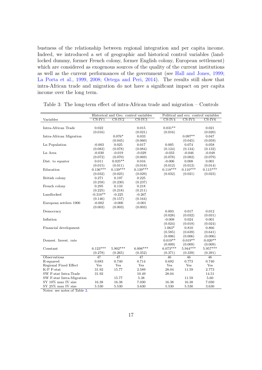bustness of the relationship between regional integration and per capita income. Indeed, we introduced a set of geographic and historical control variables (landlocked dummy, former French colony, former English colony, European settlement) which are considered as exogenous sources of the quality of the current institutions as well as the current performances of the government (see [Hall and Jones,](#page-36-13) [1999;](#page-36-13) [La Porta et al.,](#page-37-13) [1999,](#page-37-13) [2008;](#page-37-14) [Ortega and Peri,](#page-37-4) [2014\)](#page-37-4). The results still show that intra-African trade and migration do not have a significant impact on per capita income over the long term.

|                           |            |                       | Historical and Geo. control variables |            | Political and eco. control variables |              |  |
|---------------------------|------------|-----------------------|---------------------------------------|------------|--------------------------------------|--------------|--|
| Variables                 | $CS$ -IV1  | $CS$ -IV <sub>2</sub> | $CS$ -IV3                             | $CS$ -IV4  | $CS$ -IV $5$                         | $CS$ -IV $6$ |  |
|                           |            |                       |                                       |            |                                      |              |  |
| Intra-African Trade       | 0.022      |                       | 0.015                                 | $0.031**$  |                                      | 0.021        |  |
|                           | (0.016)    |                       | (0.021)                               | (0.016)    |                                      | (0.020)      |  |
| Intra-African Migration   |            | $0.076*$              | 0.033                                 |            | $0.097**$                            | 0.047        |  |
|                           |            | (0.045)               | (0.060)                               |            | (0.045)                              | (0.059)      |  |
| Ln Population             | $-0.003$   | 0.025                 | 0.017                                 | 0.005      | 0.074                                | 0.058        |  |
|                           | (0.083)    | (0.078)               | (0.084)                               | (0.124)    | (0.134)                              | (0.132)      |  |
| Ln Area                   | $-0.030$   | $-0.019$              | $-0.029$                              | $-0.033$   | $-0.046$                             | $-0.048$     |  |
|                           | (0.072)    | (0.070)               | (0.069)                               | (0.078)    | (0.082)                              | (0.079)      |  |
| Dist. to equator          | 0.011      | $0.025**$             | 0.016                                 | $-0.006$   | 0.008                                | 0.001        |  |
|                           | (0.015)    | (0.011)               | (0.018)                               | (0.012)    | (0.012)                              | (0.014)      |  |
| Education                 | $0.136***$ | $0.139***$            | $0.139***$                            | $0.118***$ | $0.110***$                           | $0.115***$   |  |
|                           | (0.032)    | (0.025)               | (0.029)                               | (0.032)    | (0.021)                              | (0.023)      |  |
| British colony            | 0.271      | 0.197                 | 0.225                                 |            |                                      |              |  |
|                           | (0.258)    | (0.230)               | (0.237)                               |            |                                      |              |  |
| French colony             | 0.295      | 0.133                 | 0.218                                 |            |                                      |              |  |
|                           | (0.225)    | (0.218)               | (0.211)                               |            |                                      |              |  |
| Landlocked                | $-0.316**$ | $-0.225$              | $-0.267$                              |            |                                      |              |  |
|                           | (0.146)    | (0.157)               | (0.164)                               |            |                                      |              |  |
| European settlers 1900    | $-0.002$   | $-0.000$              | $-0.001$                              |            |                                      |              |  |
|                           | (0.003)    | (0.003)               | (0.003)                               |            |                                      |              |  |
| Democracy                 |            |                       |                                       | 0.003      | 0.017                                | 0.012        |  |
|                           |            |                       |                                       | (0.028)    | (0.032)                              | (0.031)      |  |
| Inflation                 |            |                       |                                       | $-0.008$   | 0.024                                | 0.001        |  |
|                           |            |                       |                                       | (0.024)    | (0.018)                              | (0.024)      |  |
| Financial development     |            |                       |                                       | $1.063*$   | 0.810                                | 0.866        |  |
|                           |            |                       |                                       | (0.585)    | (0.639)                              | (0.641)      |  |
|                           |            |                       |                                       | (0.006)    | (0.006)                              | (0.006)      |  |
| Domest. Invest. rate      |            |                       |                                       | $0.019**$  | $0.019**$                            | $0.020**$    |  |
|                           |            |                       |                                       | (0.009)    | (0.009)                              | (0.009)      |  |
| Constant                  | $6.123***$ | $5.902***$            | $6.006***$                            | $6.073***$ | $5.944***$                           | $5.957***$   |  |
|                           | (0.278)    | (0.265)               | (0.352)                               | (0.371)    | (0.339)                              | (0.391)      |  |
| Observations              | 47         | 47                    | 47                                    | 46         | 46                                   | 46           |  |
| R-squared                 | 0.683      | 0.740                 | 0.714                                 | 0.692      | 0.773                                | 0.740        |  |
| Regional Fixed Effect     | Yes        | Yes                   | Yes                                   | Yes        | Yes                                  | Yes          |  |
| K-P F-stat                | 31.92      | 15.77                 | 2.589                                 | 28.04      | 11.59                                | 2.773        |  |
| SW F-stat Intra-Trade     | 31.92      |                       | 10.49                                 | 28.04      |                                      | 14.51        |  |
| SW F-stat Intra-Migration |            | 15.77                 | 5.38                                  |            | 11.59                                | 5.60         |  |
| SY 10% max IV size        | 16.38      | 16.38                 | 7.030                                 | 16.38      | 16.38                                | 7.030        |  |
| SY 25% max IV size        | 5.530      | 5.530                 | 3.630                                 | 5.530      | 5.530                                | 3.630        |  |

<span id="page-17-0"></span>Table 3: The long-term effect of intra-African trade and migration – Controls

Notes: see notes of Table [2.](#page-16-0)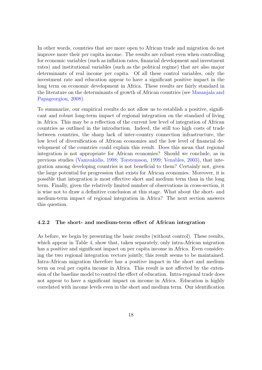In other words, countries that are more open to African trade and migration do not improve more their per capita income. The results are robust even when controlling for economic variables (such as inflation rates, financial development and investment rates) and institutional variables (such as the political regime) that are also major determinants of real income per capita. Of all these control variables, only the investment rate and education appear to have a significant positive impact in the long term on economic development in Africa. These results are fairly standard in the literature on the determinants of growth of African countries (see [Masanjala and](#page-37-15) [Papageorgiou,](#page-37-15) [2008\)](#page-37-15).

To summarize, our empirical results do not allow us to establish a positive, significant and robust long-term impact of regional integration on the standard of living in Africa. This may be a reflection of the current low level of integration of African countries as outlined in the introduction. Indeed, the still too high costs of trade between countries, the sharp lack of inter-country connection infrastructure, the low level of diversification of African economies and the low level of financial development of the countries could explain this result. Does this mean that regional integration is not appropriate for African economies? Should we conclude, as in previous studies [\(Vamvakidis,](#page-38-1) [1998;](#page-38-1) [Torstensson,](#page-38-3) [1999;](#page-38-3) [Venables,](#page-38-5) [2003\)](#page-38-5), that integration among developing countries is not beneficial to them? Certainly not, given the large potential for progression that exists for African economies. Moreover, it is possible that integration is most effective short and medium term than in the long term. Finally, given the relatively limited number of observations in cross-section, it is wise not to draw a definitive conclusion at this stage. What about the short- and medium-term impact of regional integration in Africa? The next section answers this question.

#### 4.2.2 The short- and medium-term effect of African integration

As before, we begin by presenting the basic results (without control). These results, which appear in Table [4,](#page-19-0) show that, taken separately, only intra-African migration has a positive and significant impact on per capita income in Africa. Even considering the two regional integration vectors jointly, this result seems to be maintained. Intra-African migration therefore has a positive impact in the short and medium term on real per capita income in Africa. This result is not affected by the extension of the baseline model to control the effect of education. Intra-regional trade does not appear to have a significant impact on income in Africa. Education is highly correlated with income levels even in the short and medium term. Our identification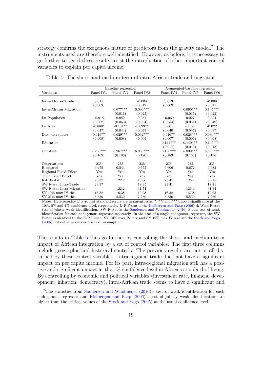strategy confirms the exogenous nature of predictors from the gravity model.<sup>[7](#page-19-1)</sup> The instruments used are therefore well identified. However, as before, it is necessary to go further to see if these results resist the introduction of other important control variables to explain per capita income.

|                           |             | Baseline regression   |            |             | Augmented-baseline regression |            |
|---------------------------|-------------|-----------------------|------------|-------------|-------------------------------|------------|
| Variables                 | $Panel-IV1$ | Panel-IV <sub>2</sub> | Panel-IV3  | $Panel-IV4$ | Panel-IV <sub>5</sub>         | Panel-IV6  |
|                           |             |                       |            |             |                               |            |
| Intra-African Trade       | 0.011       |                       | $-0.008$   | 0.013       |                               | $-0.009$   |
|                           | (0.009)     |                       | (0.012)    | (0.009)     |                               | (0.011)    |
| Intra-African Migration   |             | $0.077***$            | $0.090***$ |             | $0.090***$                    | $0.105***$ |
|                           |             | (0.016)               | (0.025)    |             | (0.015)                       | (0.022)    |
| Ln Population             | $-0.015$    | 0.059                 | 0.057      | $-0.060$    | 0.027                         | 0.024      |
|                           | (0.062)     | (0.055)               | (0.054)    | (0.054)     | (0.051)                       | (0.049)    |
| Ln Area                   | $-0.080*$   | $-0.104**$            | $-0.099**$ | 0.001       | $-0.027$                      | $-0.022$   |
|                           | (0.047)     | (0.044)               | (0.043)    | (0.040)     | (0.037)                       | (0.037)    |
| Dist. to equator          | $0.019**$   | $0.029***$            | $0.032***$ | $0.016**$   | $0.028***$                    | $0.030***$ |
|                           | (0.009)     | (0.008)               | (0.009)    | (0.007)     | (0.006)                       | (0.008)    |
| Education                 |             |                       |            | $0.142***$  | $0.140***$                    | $0.140***$ |
|                           |             |                       |            | (0.017)     | (0.013)                       | (0.013)    |
| Constant                  | $7.260***$  | $6.967***$            | $6.935***$ | $6.165***$  | $5.839***$                    | $5.803***$ |
|                           | (0.169)     | (0.183)               | (0.190)    | (0.183)     | (0.163)                       | (0.176)    |
|                           |             |                       |            |             |                               |            |
| Observations              | 235         | 235                   | 235        | 235         | 235                           | 235        |
| R-squared                 | 0.475       | 0.544                 | 0.555      | 0.606       | 0.672                         | 0.682      |
| Regional Fixed Effect     | Yes         | Yes                   | Yes        | Yes         | Yes                           | Yes        |
| Time Fixed Effect         | Yes         | Yes                   | Yes        | Yes         | Yes                           | <b>Yes</b> |
| K-P F-stat                | 23.37       | 122.2                 | 10.06      | 23.41       | 126.4                         | 9.915      |
| SW F-stat Intra-Trade     | 23.37       |                       | 18.35      | 23.41       |                               | 18.21      |
| SW F-stat Intra-Migration |             | 122.2                 | 31.74      |             | 126.4                         | 31.34      |
| SY 10% max IV size        | 16.38       | 16.38                 | 19.93      | 16.38       | 16.38                         | 19.93      |
| SY 25% max IV size        | 5.530       | 5.530                 | 7.250      | 5.530       | 5.530                         | 7.250      |

<span id="page-19-2"></span><span id="page-19-0"></span>Table 4: The short- and medium-term of intra-African trade and migration

Notes: Heteroskedasticity-robust standard errors are in parentheses. \*, \*\*, and \*\*\* denote significance at the 10%, 5% and 1% confidence level, respectively. K-P F-stat is the [Kleibergen and Paap](#page-37-12) [\(2006\)](#page-37-12) rk Wald F-stat test of jointly weak identification. SW F-stat is the [Sanderson and Windmeijer](#page-38-8) [\(2016\)](#page-38-8) F-stat test of weak identification for each endogenous regressor separately. In the case of a single endogenous regressor, the SW F-stat is identical to the K-P F-stat. SY 10% max IV size and SY 10% max IV size are the [Stock and Yogo](#page-38-9) [\(2005\)](#page-38-9) critical values under the i.i.d. assumption.

The results in Table [5](#page-21-0) thus go further by controlling the short- and medium-term impact of African integration by a set of control variables. The first three columns include geographic and historical controls. The previous results are not at all disturbed by these control variables. Intra-regional trade does not have a significant impact on per capita income. For its part, intra-regional migration still has a positive and significant impact at the 1% confidence level in Africa's standard of living. By controlling by economic and political variables (investment rate, financial development, inflation, democracy), intra-African trade seems to have a significant and

<span id="page-19-1"></span><sup>&</sup>lt;sup>7</sup>The statistics from [Sanderson and Windmeijer](#page-38-8) [\(2016\)](#page-38-8)'s test of weak identification for each endogenous regressor and [Kleibergen and Paap](#page-37-12) [\(2006\)](#page-37-12)'s test of jointly weak identification are higher than the critical values of the [Stock and Yogo](#page-38-9) [\(2005\)](#page-38-9) at the usual confidence level.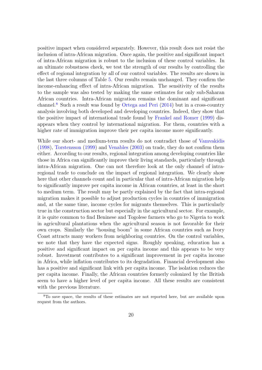positive impact when considered separately. However, this result does not resist the inclusion of intra-African migration. Once again, the positive and significant impact of intra-African migration is robust to the inclusion of these control variables. In an ultimate robustness check, we test the strength of our results by controlling the effect of regional integration by all of our control variables. The results are shown in the last three columns of Table [5.](#page-21-0) Our results remain unchanged. They confirm the income-enhancing effect of intra-African migration. The sensitivity of the results to the sample was also tested by making the same estimates for only sub-Saharan African countries. Intra-African migration remains the dominant and significant channel.<sup>[8](#page-20-0)</sup> Such a result was found by [Ortega and Peri](#page-37-4)  $(2014)$  but in a cross-country analysis involving both developed and developing countries. Indeed, they show that the positive impact of international trade found by [Frankel and Romer](#page-36-8) [\(1999\)](#page-36-8) disappears when they control by international migration. For them, countries with a higher rate of immigration improve their per capita income more significantly.

While our short- and medium-term results do not contradict those of [Vamvakidis](#page-38-1) [\(1998\)](#page-38-1), [Torstensson](#page-38-3) [\(1999\)](#page-38-3) and [Venables](#page-38-5) [\(2003\)](#page-38-5) on trade, they do not confirm them either. According to our results, regional integration among developing countries like those in Africa can significantly improve their living standards, particularly through intra-African migration. One can not therefore look at the only channel of intraregional trade to conclude on the impact of regional integration. We clearly show here that other channels count and in particular that of intra-African migration help to significantly improve per capita income in African countries, at least in the short to medium term. The result may be partly explained by the fact that intra-regional migration makes it possible to adjust production cycles in countries of immigration and, at the same time, income cycles for migrants themselves. This is particularly true in the construction sector but especially in the agricultural sector. For example, it is quite common to find Beninese and Togolese farmers who go to Nigeria to work in agricultural plantations when the agricultural season is not favorable for their own crops. Similarly the "housing boom" in some African countries such as Ivory Coast attracts many workers from neighboring countries. On the control variables, we note that they have the expected signs. Roughly speaking, education has a positive and significant impact on per capita income and this appears to be very robust. Investment contributes to a significant improvement in per capita income in Africa, while inflation contributes to its degradation. Financial development also has a positive and significant link with per capita income. The isolation reduces the per capita income. Finally, the African countries formerly colonized by the British seem to have a higher level of per capita income. All these results are consistent with the previous literature.

<span id="page-20-0"></span><sup>8</sup>To save space, the results of these estimates are not reported here, but are available upon request from the authors.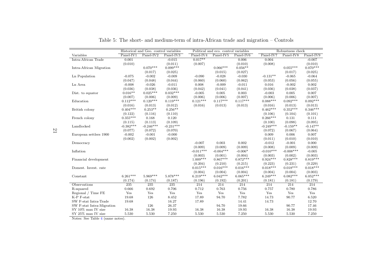|                           |                  | Historical and Geo. control variables |             |             | Political and eco. control variables |             |             | Robustness check |             |
|---------------------------|------------------|---------------------------------------|-------------|-------------|--------------------------------------|-------------|-------------|------------------|-------------|
| Variables                 | $Panel-IV1$      | $Panel-IV2$                           | $Panel-IV3$ | $Panel-IV4$ | Panel-IV5                            | $Panel-IV6$ | Panel-IV7   | Panel-IV8        | $Panel-IV9$ |
| Intra-African Trade       | 0.001            |                                       | $-0.015$    | $0.017**$   |                                      | 0.006       | 0.004       |                  | $-0.007$    |
|                           | (0.010)          |                                       | (0.011)     | (0.007)     |                                      | (0.010)     | (0.008)     |                  | (0.010)     |
| Intra-African Migration   |                  | $0.070***$                            | $0.099***$  |             | $0.066***$                           | $0.056**$   |             | $0.055***$       | $0.070***$  |
|                           |                  | (0.017)                               | (0.025)     |             | (0.015)                              | (0.027)     |             | (0.017)          | (0.025)     |
| Ln Population             | $-0.075$         | $-0.002$                              | $-0.009$    | $-0.090$    | $-0.028$                             | $-0.030$    | $-0.131**$  | $-0.065$         | $-0.064$    |
|                           | (0.047)          | (0.048)                               | (0.044)     | (0.060)     | (0.060)                              | (0.062)     | (0.053)     | (0.056)          | (0.055)     |
| Ln Area                   | $-0.008$         | $-0.026$                              | $-0.011$    | 0.008       | $-0.009$                             | $-0.011$    | 0.016       | $-0.002$         | 0.002       |
|                           | (0.036)          | (0.038)                               | (0.036)     | (0.042)     | (0.041)                              | (0.041)     | (0.036)     | (0.038)          | (0.037)     |
| Dist. to equator          | $0.016**$        | $0.025***$                            | $0.032***$  | $-0.005$    | 0.005                                | 0.003       | $-0.003$    | 0.005            | 0.007       |
|                           | (0.007)          | (0.006)                               | (0.009)     | (0.006)     | (0.006)                              | (0.007)     | (0.006)     | (0.006)          | (0.007)     |
| Education                 | $0.112***$       | $0.120***$                            | $0.119***$  | $0.121***$  | $0.117***$                           | $0.117***$  | $0.088***$  | $0.092***$       | $0.092***$  |
|                           | (0.016)          | (0.013)                               | (0.012)     | (0.016)     | (0.013)                              | (0.013)     | (0.016)     | (0.013)          | (0.013)     |
| British colony            | $0.404***$       | $0.253**$                             | $0.256**$   |             |                                      |             | $0.462***$  | $0.352***$       | $0.346***$  |
|                           | (0.122)          | (0.116)                               | (0.110)     |             |                                      |             | (0.106)     | (0.104)          | (0.101)     |
| French colony             | $0.355***$       | 0.168                                 | 0.120       |             |                                      |             | $0.266***$  | 0.131            | 0.111       |
|                           | (0.115)          | (0.113)                               | (0.109)     |             |                                      |             | (0.100)     | (0.098)          | (0.095)     |
| Landlocked                | $-0.382***$      | $-0.246***$                           | $-0.231***$ |             |                                      |             | $-0.249***$ | $-0.159**$       | $-0.147**$  |
|                           | (0.077)          | (0.072)                               | (0.070)     |             |                                      |             | (0.072)     | (0.067)          | (0.064)     |
| European settlers 1900    | $-0.002$         | $-0.001$                              | $-0.000$    |             |                                      |             | 0.009       | 0.006            | 0.007       |
|                           | (0.002)          | (0.002)                               | (0.002)     |             |                                      |             | (0.011)     | (0.010)          | (0.010)     |
| Democracy                 |                  |                                       |             | $-0.007$    | 0.003                                | 0.002       | $-0.012$    | $-0.001$         | 0.000       |
|                           |                  |                                       |             | (0.009)     | (0.009)                              | (0.009)     | (0.008)     | (0.009)          | (0.009)     |
| Inflation                 |                  |                                       |             | $-0.011***$ | $-0.004***$                          | $-0.006*$   | $-0.010***$ | $-0.008***$      | $-0.005$    |
|                           |                  |                                       |             | (0.003)     | (0.001)                              | (0.004)     | (0.003)     | (0.002)          | (0.003)     |
| Financial development     |                  |                                       |             | $1.009***$  | $0.867***$                           | $0.872***$  | $0.924***$  | $0.828***$       | $0.819***$  |
|                           |                  |                                       |             | (0.204)     | (0.210)                              | (0.215)     | (0.223)     | (0.231)          | (0.229)     |
| Domest. Invest. rate      |                  |                                       |             | $0.015***$  | $0.016***$                           | $0.016***$  | $0.018***$  | $0.018***$       | $0.018***$  |
|                           |                  |                                       |             | (0.004)     | (0.004)                              | (0.004)     | (0.004)     | (0.004)          | (0.003)     |
| Constant                  | $6.261***$       | $5.969***$                            | $5.878***$  | $6.219***$  | $6.042***$                           | $6.065***$  | $6.249***$  | $6.082***$       | $6.052***$  |
|                           | (0.174)          | (0.174)                               | (0.187)     | (0.196)     | (0.192)                              | (0.201)     | (0.181)     | (0.181)          | (0.179)     |
| Observations              | $\overline{235}$ | 235                                   | 235         | 214         | 214                                  | 214         | 214         | $\overline{214}$ | 214         |
| R-squared                 | 0.666            | 0.692                                 | 0.706       | 0.712       | 0.763                                | 0.756       | 0.757       | 0.780            | 0.786       |
| Regional / Time FE        | Yes              | Yes                                   | Yes         | Yes         | Yes                                  | Yes         | Yes         | Yes              | Yes         |
| K-P F-stat                | 19.68            | 126                                   | 8.452       | 17.89       | 94.70                                | 7.782       | 14.73       | 90.77            | 6.520       |
| SW F-stat Intra-Trade     | 19.68            |                                       | 16.27       | 17.89       |                                      | 14.41       | 14.73       |                  | 12.70       |
| SW F-stat Intra-Migration |                  | 126                                   | 26.37       |             | 94.70                                | 19.66       |             | 90.77            | 17.46       |
| SY 10% max IV size        | 16.38            | 16.38                                 | 19.93       | 16.38       | 16.38                                | 19.93       | 16.38       | 16.38            | 19.93       |
| SY 25% max IV size        | 5.530            | 5.530                                 | 7.250       | 5.530       | 5.530                                | 7.250       | 5.530       | 5.530            | 7.250       |

Table 5: The short- and medium-term of intra-African trade and migration – Controls

<span id="page-21-0"></span>Notes: See Table [4](#page-19-2) (same notes).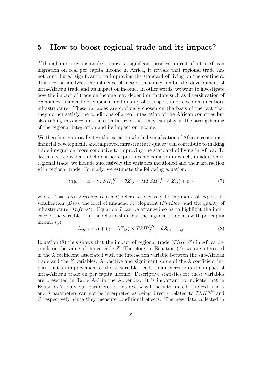## <span id="page-22-0"></span>5 How to boost regional trade and its impact?

Although our previous analysis shows a significant positive impact of intra-African migration on real per capita income in Africa, it reveals that regional trade has not contributed significantly to improving the standard of living on the continent. This section analyzes the influence of factors that may inhibit the development of intra-African trade and its impact on income. In other words, we want to investigate how the impact of trade on income may depend on factors such as diversification of economies, financial development and quality of transport and telecommunications infrastructure. These variables are obviously chosen on the basis of the fact that they do not satisfy the conditions of a real integration of the African countries but also taking into account the essential role that they can play in the strengthening of the regional integration and its impact on income.

We therefore empirically test the extent to which diversification of African economies, financial development, and improved infrastructure quality can contribute to making trade integration more conducive to improving the standard of living in Africa. To do this, we consider as before a per capita income equation in which, in addition to regional trade, we include successively the variables mentioned and their interaction with regional trade. Formally, we estimate the following equation:

<span id="page-22-1"></span>
$$
ln y_{i,t} = \alpha + \gamma T S H_{i,t}^{Afr} + \theta Z_{i,t} + \lambda (T S H_{i,t}^{Afr} \times Z_{i,t}) + \varepsilon_{i,t}
$$
\n<sup>(7)</sup>

where  $Z = (Div, FinDev, Infrast)$  refers respectively to the index of export diversification  $(Div)$ , the level of financial development  $(FinDev)$  and the quality of infrastructure *(Infrast)*. Equation [7](#page-22-1) can be arranged so as to highlight the influence of the variable  $Z$  in the relationship that the regional trade has with per capita income  $(y)$ .

<span id="page-22-2"></span>
$$
ln y_{i,t} = \alpha + (\gamma + \lambda Z_{i,t}) \times TSH^{Afr}_{i,t} + \theta Z_{i,t} + \varepsilon_{i,t}
$$
\n
$$
(8)
$$

Equation [\(8\)](#page-22-2) thus shows that the impact of regional trade  $(TSH<sup>Afr</sup>)$  in Africa depends on the value of the variable Z. Therefore, in Equation [\(7\)](#page-22-1), we are interested in the  $\lambda$  coefficient associated with the interaction variable between the sub-African trade and the Z variables. A positive and significant value of the  $\lambda$  coefficient implies that an improvement of the Z variables leads to an increase in the impact of intra-African trade on per capita income. Descriptive statistics for these variables are presented in Table [A-3](#page-35-7) in the Appendix. It is important to indicate that in Equation [7,](#page-22-1) only our parameter of interest  $\lambda$  will be interpreted. Indeed, the  $\gamma$ and  $\theta$  parameters can not be interpreted as being directly related to  $TSH^{Afr}$  and Z respectively, since they measure conditional effects. The new data collected in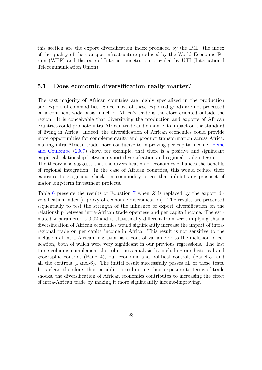this section are the export diversification index produced by the IMF, the index of the quality of the transpot infrastructure produced by the World Economic Forum (WEF) and the rate of Internet penetration provided by UTI (International Telecommunication Union).

### 5.1 Does economic diversification really matter?

The vast majority of African countries are highly specialized in the production and export of commodities. Since most of these exported goods are not processed on a continent-wide basis, much of Africa's trade is therefore oriented outside the region. It is conceivable that diversifying the production and exports of African countries could promote intra-African trade and enhance its impact on the standard of living in Africa. Indeed, the diversification of African economies could provide more opportunities for complementarity and product transformation across Africa, making intra-African trade more conducive to improving per capita income. [Beine](#page-35-8) [and Coulombe](#page-35-8) [\(2007\)](#page-35-8) show, for example, that there is a positive and significant empirical relationship between export diversification and regional trade integration. The theory also suggests that the diversification of economies enhances the benefits of regional integration. In the case of African countries, this would reduce their exposure to exogenous shocks in commodity prices that inhibit any prospect of major long-term investment projects.

Table [6](#page-24-0) presents the results of Equation [7](#page-22-1) when Z is replaced by the export diversification index (a proxy of economic diversification). The results are presented sequentially to test the strength of the influence of export diversification on the relationship between intra-African trade openness and per capita income. The estimated  $\lambda$  parameter is 0.02 and is statistically different from zero, implying that a diversification of African economies would significantly increase the impact of intraregional trade on per capita income in Africa. This result is not sensitive to the inclusion of intra-African migration as a control variable or to the inclusion of education, both of which were very significant in our previous regressions. The last three columns complement the robustness analysis by including our historical and geographic controls (Panel-4), our economic and political controls (Panel-5) and all the controls (Panel-6). The initial result successfully passes all of these tests. It is clear, therefore, that in addition to limiting their exposure to terms-of-trade shocks, the diversification of African economies contributes to increasing the effect of intra-African trade by making it more significantly income-improving.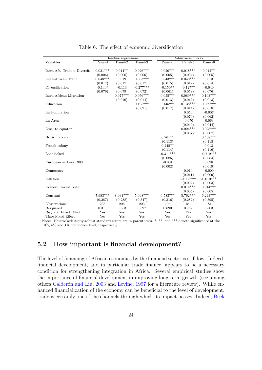<span id="page-24-0"></span>

|                              |            | Baseline regressions |             | Robustness checks |             |             |             |
|------------------------------|------------|----------------------|-------------|-------------------|-------------|-------------|-------------|
| Variables                    | $Panel-1$  | $Panel-2$            | $Panel-3$   |                   | $Panel-4$   | $Panel-5$   | $Panel-6$   |
|                              |            |                      |             |                   |             |             |             |
| Intra-Afr. Trade x Diversif. | $0.021***$ | $0.014**$            | $0.026***$  |                   | $0.020***$  | $0.018***$  | $0.012**$   |
|                              | (0.006)    | (0.006)              | (0.006)     |                   | (0.005)     | (0.004)     | (0.005)     |
| Intra-African Trade          | $0.048***$ | 0.019                | $0.063***$  |                   | $0.043***$  | $0.040***$  | 0.013       |
|                              | (0.017)    | (0.017)              | (0.017)     |                   | (0.015)     | (0.012)     | (0.014)     |
| Diversification              | $-0.140*$  | $-0.113$             | $-0.277***$ |                   | $-0.150**$  | $-0.127**$  | $-0.040$    |
|                              | (0.079)    | (0.079)              | (0.072)     |                   | (0.061)     | (0.058)     | (0.076)     |
| Intra-African Migration      |            | $0.077***$           | $0.056***$  |                   | $0.055***$  | $0.089***$  | $0.103***$  |
|                              |            | (0.016)              | (0.014)     |                   | (0.013)     | (0.012)     | (0.013)     |
| Education                    |            |                      | $0.195***$  |                   | $0.145***$  | $0.138***$  | $0.089***$  |
|                              |            |                      | (0.021)     |                   | (0.017)     | (0.014)     | (0.018)     |
| Ln Population                |            |                      |             |                   |             | 0.050       | $-0.007$    |
|                              |            |                      |             |                   |             | (0.070)     | (0.062)     |
| Ln Area                      |            |                      |             |                   |             | $-0.070$    | $-0.063$    |
|                              |            |                      |             |                   |             | (0.049)     | (0.044)     |
| Dist. to equator             |            |                      |             |                   |             | $0.024***$  | $0.028***$  |
|                              |            |                      |             |                   |             | (0.007)     | (0.007)     |
| British colony               |            |                      |             |                   | $0.261**$   |             | $0.438***$  |
|                              |            |                      |             |                   | (0.113)     |             | (0.118)     |
| French colony                |            |                      |             |                   | $0.245**$   |             | 0.013       |
|                              |            |                      |             |                   | (0.114)     |             | (0.116)     |
| Landlocked                   |            |                      |             |                   | $-0.311***$ |             | $-0.219***$ |
|                              |            |                      |             |                   | (0.086)     |             | (0.084)     |
| European settlers 1900       |            |                      |             |                   | $-0.001$    |             | 0.028       |
|                              |            |                      |             |                   | (0.002)     |             | (0.019)     |
| Democracy                    |            |                      |             |                   |             | 0.010       | $-0.000$    |
|                              |            |                      |             |                   |             | (0.011)     | (0.009)     |
| Inflation                    |            |                      |             |                   |             | $-0.008***$ | $-0.010***$ |
|                              |            |                      |             |                   |             | (0.002)     | (0.003)     |
| Domest. Invest. rate         |            |                      |             |                   |             | $0.014***$  | $0.014***$  |
|                              |            |                      |             |                   |             | (0.005)     | (0.005)     |
| Constant                     | $7.983***$ | $8.031***$           | $5.998***$  |                   | $6.583***$  | $5.762***$  | $6.243***$  |
|                              | (0.287)    | (0.288)              | (0.347)     |                   | (0.316)     | (0.282)     | (0.395)     |
| Observations                 | 205        | 205                  | 203         |                   | 195         | 181         | 181         |
| R-squared                    | 0.311      | 0.353                | 0.597       |                   | 0.690       | 0.762       | 0.803       |
| Regional Fixed Effect        | Yes        | Yes                  | Yes         |                   | Yes         | Yes         | Yes         |
| Time Fixed Effect            | Yes        | Yes                  | Yes         |                   | Yes         | Yes         | Yes         |

Table 6: The effect of economic diversification

Notes: Heteroskedasticity-robust standard errors are in parentheses. \*, \*\*, and \*\*\* denote significance at the 10%, 5% and 1% confidence level, respectively.

## 5.2 How important is financial development?

The level of financing of African economies by the financial sector is still low. Indeed, financial development, and in particular trade finance, appears to be a necessary condition for strengthening integration in Africa. Several empirical studies show the importance of financial development in improving long-term growth (see among others Calderón and Liu, [2003](#page-36-14) and [Levine,](#page-37-16) [1997](#page-37-16) for a literature review). While enhanced financialization of the economy can be beneficial to the level of development, trade is certainly one of the channels through which its impact passes. Indeed, [Beck](#page-35-9)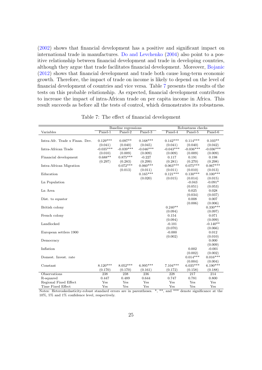[\(2002\)](#page-35-9) shows that financial development has a positive and significant impact on international trade in manufactures. [Do and Levchenko](#page-36-15) [\(2004\)](#page-36-15) also point to a positive relationship between financial development and trade in developing countries, although they argue that trade facilitates financial development. Moreover, [Bojanic](#page-35-10) [\(2012\)](#page-35-10) shows that financial development and trade both cause long-term economic growth. Therefore, the impact of trade on income is likely to depend on the level of financial development of countries and vice versa. Table [7](#page-25-0) presents the results of the tests on this probable relationship. As expected, financial development contributes to increase the impact of intra-African trade on per capita income in Africa. This result succeeds as before all the tests of control, which demonstrates its robustness.

<span id="page-25-0"></span>

|                                |                                 | Baseline regressions              |                                |                             | Robustness checks                 |                                   |
|--------------------------------|---------------------------------|-----------------------------------|--------------------------------|-----------------------------|-----------------------------------|-----------------------------------|
| Variables                      | Panel-1                         | $Panel-2$                         | Panel-3                        | Panel-4                     | Panel-5                           | Panel-6                           |
| Intra-Afr. Trade x Finan. Dev. | $0.129***$                      | $0.097**$                         | $0.168***$                     | $0.142***$                  | $0.114***$                        | $0.103**$                         |
| Intra-African Trade            | (0.041)<br>$-0.035***$          | (0.040)<br>$-0.039***$<br>(0.009) | (0.045)<br>$-0.046***$         | (0.041)<br>$-0.043***$      | (0.040)<br>$-0.036***$<br>(0.009) | (0.042)<br>$-0.036***$<br>(0.009) |
| Financial development          | (0.010)<br>$0.688**$<br>(0.297) | $0.875***$<br>(0.283)             | (0.009)<br>$-0.227$<br>(0.299) | (0.009)<br>0.117<br>(0.281) | 0.191<br>(0.270)                  | 0.198<br>(0.298)                  |
| Intra-African Migration        |                                 | $0.072***$<br>(0.013)             | $0.060***$<br>(0.011)          | $0.063***$<br>(0.011)       | $0.075***$<br>(0.010)             | $0.067***$<br>(0.013)             |
| Education                      |                                 |                                   | $0.165***$<br>(0.020)          | $0.121***$<br>(0.015)       | $0.130***$<br>(0.014)             | $0.100***$<br>(0.015)             |
| Ln Population                  |                                 |                                   |                                |                             | $-0.043$<br>(0.051)               | $-0.091*$<br>(0.053)              |
| Ln Area                        |                                 |                                   |                                |                             | 0.025<br>(0.034)                  | 0.028<br>(0.037)                  |
| Dist. to equator               |                                 |                                   |                                |                             | 0.008<br>(0.006)                  | 0.007<br>(0.006)                  |
| British colony                 |                                 |                                   |                                | $0.240**$<br>(0.094)        |                                   | $0.330***$<br>(0.097)             |
| French colony                  |                                 |                                   |                                | 0.154                       |                                   | 0.071                             |
| Landlocked                     |                                 |                                   |                                | (0.094)<br>$-0.101$         |                                   | (0.099)<br>$-0.140**$             |
| European settlers 1900         |                                 |                                   |                                | (0.070)<br>$-0.000$         |                                   | (0.066)<br>0.012                  |
| Democracy                      |                                 |                                   |                                | (0.002)                     |                                   | (0.010)<br>0.000                  |
| Inflation                      |                                 |                                   |                                |                             | 0.002                             | (0.009)<br>$-0.001$               |
| Domest. Invest. rate           |                                 |                                   |                                |                             | (0.002)<br>$0.014***$<br>(0.004)  | (0.002)<br>$0.016***$<br>(0.004)  |
| Constant                       | $8.120***$<br>(0.170)           | $8.052***$<br>(0.170)             | 6.995***<br>(0.161)            | $7.104***$<br>(0.172)       | $6.035***$<br>(0.158)             | $6.190***$<br>(0.188)             |
| Observations                   | 238                             | 238                               | 236                            | 228                         | 217                               | 214                               |
| R-squared                      | 0.447                           | 0.489                             | 0.644                          | 0.747                       | 0.781                             | 0.800                             |
| Regional Fixed Effect          | Yes                             | Yes                               | Yes                            | Yes                         | Yes                               | Yes                               |
| Time Fixed Effect              | Yes                             | Yes                               | Yes                            | Yes                         | Yes                               | Yes                               |

Table 7: The effect of financial development

Notes: Heteroskedasticity-robust standard errors are in parentheses. \*, \*\*, and \*\*\* denote significance at the 10%, 5% and 1% confidence level, respectively.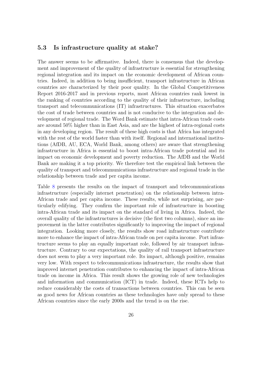#### 5.3 Is infrastructure quality at stake?

The answer seems to be affirmative. Indeed, there is consensus that the development and improvement of the quality of infrastructure is essential for strengthening regional integration and its impact on the economic development of African countries. Indeed, in addition to being insufficient, transport infrastructure in African countries are characterized by their poor quality. In the Global Competitiveness Report 2016-2017 and in previous reports, most African countries rank lowest in the ranking of countries according to the quality of their infrastructure, including transport and telecommunications (IT) infrastructures. This situation exacerbates the cost of trade between countries and is not conducive to the integration and development of regional trade. The Word Bank estimate that intra-African trade costs are around 50% higher than in East Asia, and are the highest of intra-regional costs in any developing region. The result of these high costs is that Africa has integrated with the rest of the world faster than with itself. Regional and international institutions (AfDB, AU, ECA, World Bank, among others) are aware that strengthening infrastructure in Africa is essential to boost intra-African trade potential and its impact on economic development and poverty reduction. The AfDB and the World Bank are making it a top priority. We therefore test the empirical link between the quality of transport and telecommunications infrastructure and regional trade in the relationship between trade and per capita income.

Table [8](#page-27-0) presents the results on the impact of transport and telecommunications infrastructure (especially internet penetration) on the relationship between intra-African trade and per capita income. These results, while not surprising, are particularly edifying. They confirm the important role of infrastructure in boosting intra-African trade and its impact on the standard of living in Africa. Indeed, the overall quality of the infrastructures is decisive (the first two columns), since an improvement in the latter contributes significantly to improving the impact of regional integration. Looking more closely, the results show road infrastructure contribute more to enhance the impact of intra-African trade on per capita income. Port infrastructure seems to play an equally important role, followed by air transport infrastructure. Contrary to our expectations, the quality of rail transport infrastructure does not seem to play a very important role. Its impact, although positive, remains very low. With respect to telecommunications infrastructure, the results show that improved internet penetration contributes to enhancing the impact of intra-African trade on income in Africa. This result shows the growing role of new technologies and information and communication (ICT) in trade. Indeed, these ICTs help to reduce considerably the costs of transactions between countries. This can be seen as good news for African countries as these technologies have only spread to these African countries since the early 2000s and the trend is on the rise.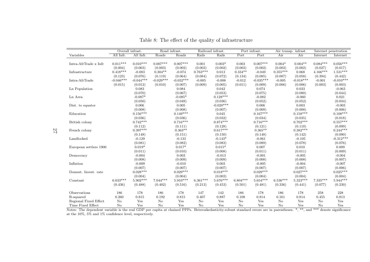|                        |             | Overall infrast. | Road infrast. |             |            | Railroad infrast. |            | Port infrast. |            | Air transp. infrast. |                | Internet penetration |
|------------------------|-------------|------------------|---------------|-------------|------------|-------------------|------------|---------------|------------|----------------------|----------------|----------------------|
| Variables              | All Infr.   | All Infr.        | Roads         | Roads       | Rails      | Rails             | Port       | Port          | Air        | Air                  | Internet       | Internet             |
|                        |             |                  |               |             |            |                   |            |               |            |                      |                |                      |
| Intra-AfrTrade x Infr  | $0.011***$  | $0.010***$       | $0.007***$    | $0.007***$  | 0.001      | $0.003*$          | 0.003      | $0.007***$    | $0.004*$   | $0.004**$            | $0.084***$     | $0.056***$           |
|                        | (0.004)     | (0.003)          | (0.003)       | (0.002)     | (0.003)    | (0.002)           | (0.003)    | (0.002)       | (0.002)    | (0.002)              | (0.027)        | (0.017)              |
| Infrastructure         | $0.418***$  | $-0.083$         | $0.304**$     | $-0.074$    | $0.763***$ | 0.013             | $0.334**$  | $-0.049$      | $0.355***$ | 0.068                | $4.166***$     | $1.531***$           |
|                        | (0.123)     | (0.076)          | (0.119)       | (0.064)     | (0.084)    | (0.072)           | (0.134)    | (0.085)       | (0.087)    | (0.058)              | (0.394)        | (0.442)              |
| Intra-AfrTrade         | $-0.046***$ | $-0.044***$      | $-0.029***$   | $-0.032***$ | $-0.005$   | $-0.008$          | $-0.012$   | $-0.035***$   | $-0.005$   | $-0.018***$          | $-0.001$       | $-0.010***$          |
|                        | (0.015)     | (0.012)          | (0.010)       | (0.007)     | (0.009)    | (0.005)           | (0.011)    | (0.009)       | (0.006)    | (0.006)              | (0.003)        | (0.003)              |
| Ln Population          |             | 0.083            |               | 0.084       |            | 0.042             |            | 0.074         |            | 0.033                |                | $-0.063$             |
|                        |             | (0.070)          |               | (0.067)     |            | (0.053)           |            | (0.075)       |            | (0.080)              |                | (0.044)              |
| Ln Area                |             | $-0.087*$        |               | $-0.085*$   |            | $0.128***$        |            | $-0.082$      |            | $-0.060$             |                | 0.021                |
|                        |             | (0.050)          |               | (0.049)     |            | (0.036)           |            | (0.052)       |            | (0.052)              |                | (0.034)              |
| Dist. to equator       |             | 0.006            |               | 0.005       |            | $-0.020***$       |            | 0.006         |            | 0.003                |                | $-0.003$             |
|                        |             | (0.008)          |               | (0.008)     |            | (0.007)           |            | (0.009)       |            | (0.008)              |                | (0.006)              |
| Education              |             | $0.156***$       |               | $0.149***$  |            | 0.045             |            | $0.167***$    |            | $0.158***$           |                | $0.108***$           |
|                        |             | (0.036)          |               | (0.036)     |            | (0.032)           |            | (0.034)       |            | (0.035)              |                | (0.018)              |
| British colony         |             | $0.742***$       |               | $0.716***$  |            | $0.874***$        |            | $0.716***$    |            | $0.702***$           |                | $0.557***$           |
|                        |             | (0.112)          |               | (0.111)     |            | (0.128)           |            | (0.121)       |            | (0.110)              |                | (0.099)              |
| French colony          |             | $0.397***$       |               | $0.363**$   |            | $0.617***$        |            | $0.365**$     |            | $0.382***$           |                | $0.244***$           |
|                        |             | (0.148)          |               | (0.151)     |            | (0.150)           |            | (0.148)       |            | (0.142)              |                | (0.090)              |
| Landlocked             |             | $-0.129$         |               | $-0.133$    |            | $-0.143*$         |            | $-0.061$      |            | $-0.105$             |                | $-0.312***$          |
|                        |             | (0.081)          |               | (0.082)     |            | (0.083)           |            | (0.089)       |            | (0.078)              |                | (0.076)              |
| European settlers 1900 |             | $0.019*$         |               | $0.017*$    |            | $0.015*$          |            | 0.007         |            | 0.010                |                | 0.009                |
|                        |             | (0.011)          |               | (0.010)     |            | (0.008)           |            | (0.011)       |            | (0.011)              |                | (0.009)              |
| Democracy              |             | $-0.004$         |               | 0.003       |            | $-0.013$          |            | $-0.001$      |            | $-0.005$             |                | $-0.004$             |
|                        |             | (0.008)          |               | (0.009)     |            | (0.009)           |            | (0.008)       |            | (0.008)              |                | (0.007)              |
| Inflation              |             | $-0.009$         |               | $-0.010$    |            | 0.003             |            | $-0.005$      |            | $-0.004$             |                | $-0.007$             |
|                        |             | (0.007)          |               | (0.007)     |            | (0.007)           |            | (0.007)       |            | (0.007)              |                | (0.006)              |
| Domest. Invest. rate   |             | $0.028***$       |               | $0.029***$  |            | $0.018***$        |            | $0.029***$    |            | $0.027***$           |                | $0.025***$           |
|                        |             | (0.004)          |               | (0.004)     |            | (0.003)           |            | (0.004)       |            | (0.004)              |                | (0.004)              |
| Constant               | $6.633***$  | $5.902***$       | $7.044***$    | $5.910***$  | $6.361***$ | $5.676***$        | $6.804***$ | $5.654***$    | $6.536***$ | $5.323***$           | $7.335***$     | $5.944***$           |
|                        | (0.436)     | (0.488)          | (0.402)       | (0.516)     | (0.213)    | (0.453)           | (0.501)    | (0.481)       | (0.336)    | (0.441)              | (0.077)        | (0.230)              |
| Observations           | 186         | 178              | 186           | 178         | 147        | 142               | 186        | 178           | 186        | 178                  | 258            | 228                  |
| R-squared              | 0.260       | 0.815            | 0.192         | 0.815       | 0.407      | 0.887             | 0.108      | 0.814         | 0.161      | 0.814                | 0.455          | 0.813                |
| Regional Fixed Effect  | $\rm No$    | Yes              | $\rm No$      | Yes         | No         | Yes               | No         | Yes           | $\rm No$   | Yes                  | N <sub>o</sub> | Yes                  |
| Time Fixed Effect      | $\rm No$    | Yes              | No            | Yes         | No         | Yes               | No         | Yes           | No         | Yes                  | N <sub>o</sub> | Yes                  |
|                        |             |                  |               |             |            |                   |            |               |            |                      |                |                      |

|  |  | Table 8: The effect of the quality of infrastructure |
|--|--|------------------------------------------------------|

Time Fixed Effect No Yes No Yes No Yes No Yes No Yes No Yes No Yes No Yes No Yes<br>Notes: The dependent variable is the real GDP per capita at chained PPPs. Heteroskedasticity-robust standard errors are in parentheses. \*, \*\*

<span id="page-27-0"></span>27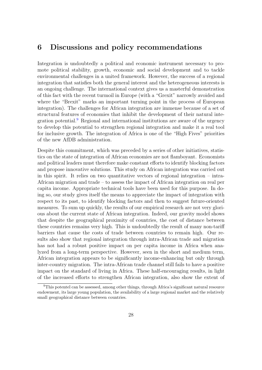## <span id="page-28-0"></span>6 Discussions and policy recommendations

Integration is undoubtedly a political and economic instrument necessary to promote political stability, growth, economic and social development and to tackle environmental challenges in a united framework. However, the success of a regional integration that satisfies both the general interest and the heterogeneous interests is an ongoing challenge. The international context gives us a masterful demonstration of this fact with the recent turmoil in Europe (with a "Grexit" narrowly avoided and where the "Brexit" marks an important turning point in the process of European integration). The challenges for African integration are immense because of a set of structural features of economies that inhibit the development of their natural inte-gration potential.<sup>[9](#page-28-1)</sup> Regional and international institutions are aware of the urgency to develop this potential to strengthen regional integration and make it a real tool for inclusive growth. The integration of Africa is one of the "High Fives" priorities of the new AfDB administration.

Despite this commitment, which was preceded by a series of other initiatives, statistics on the state of integration of African economies are not flamboyant. Economists and political leaders must therefore make constant efforts to identify blocking factors and propose innovative solutions. This study on African integration was carried out in this spirit. It relies on two quantitative vectors of regional integration – intra-African migration and trade – to assess the impact of African integration on real per capita income. Appropriate technical tools have been used for this purpose. In doing so, our study gives itself the means to appreciate the impact of integration with respect to its past, to identify blocking factors and then to suggest future-oriented measures. To sum up quickly, the results of our empirical research are not very glorious about the current state of African integration. Indeed, our gravity model shows that despite the geographical proximity of countries, the cost of distance between these countries remains very high. This is undoubtedly the result of many non-tariff barriers that cause the costs of trade between countries to remain high. Our results also show that regional integration through intra-African trade and migration has not had a robust positive impact on per capita income in Africa when analyzed from a long-term perspective. However, seen in the short and medium term, African integration appears to be significantly income-enhancing but only through inter-country migration. The intra-African trade channel still fails to have a positive impact on the standard of living in Africa. These half-encouraging results, in light of the increased efforts to strengthen African integration, also show the extent of

<span id="page-28-1"></span><sup>9</sup>This potentel can be assessed, among other things, through Africa's significant natural resource endowment, its large young population, the availability of a large regional market and the relatively small geographical distance between countries.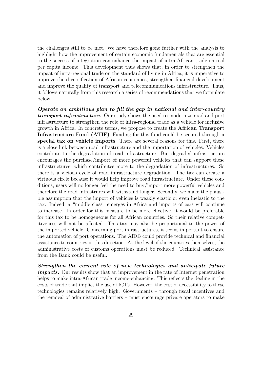the challenges still to be met. We have therefore gone further with the analysis to highlight how the improvement of certain economic fundamentals that are essential to the success of integration can enhance the impact of intra-African trade on real per capita income. This development thus shows that, in order to strengthen the impact of intra-regional trade on the standard of living in Africa, it is imperative to improve the diversification of African economies, strengthen financial development and improve the quality of transport and telecommunications infrastructure. Thus, it follows naturally from this research a series of recommendations that we formulate below.

Operate an ambitious plan to fill the gap in national and inter-country **transport infrastructure.** Our study shows the need to modernize road and port infrastructure to strengthen the role of intra-regional trade as a vehicle for inclusive growth in Africa. In concrete terms, we propose to create the African Transport Infrastructure Fund (ATIF). Funding for this fund could be secured through a special tax on vehicle imports. There are several reasons for this. First, there is a close link between road infrastructure and the importation of vehicles. Vehicles contribute to the degradation of road infrastructure. But degraded infrastructure encourages the purchase/import of more powerful vehicles that can support these infrastructures, which contributes more to the degradation of infrastructures. So there is a vicious cycle of road infrastructure degradation. The tax can create a virtuous circle because it would help improve road infrastructure. Under these conditions, users will no longer feel the need to buy/import more powerful vehicles and therefore the road infrastrures will withstand longer. Secondly, we make the plausible assumption that the import of vehicles is weakly elastic or even inelastic to the tax. Indeed, a "middle class" emerges in Africa and imports of cars will continue to increase. In order for this measure to be more effective, it would be preferable for this tax to be homogeneous for all African countries. So their relative competitiveness will not be affected. This tax may also be proportional to the power of the imported vehicle. Concerning port infrastructures, it seems important to ensure the automation of port operations. The AfDB could provide technical and financial assistance to countries in this direction. At the level of the countries themselves, the administrative costs of customs operations must be reduced. Technical assistance from the Bank could be useful.

Strengthen the current role of new technologies and anticipate future impacts. Our results show that an improvement in the rate of Internet penetration helps to make intra-African trade income-enhancing. This reflects the decline in the costs of trade that implies the use of ICTs. However, the cost of accessibility to these technologies remains relatively high. Governments – through fiscal incentives and the removal of administrative barriers – must encourage private operators to make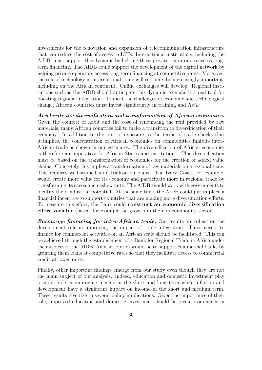investments for the renovation and expansion of telecommunication infrastructure that can reduce the cost of access to ICTs. International institutions, including the AfDB, must support this dynamic by helping these private operators to access longterm financing. The AfDB could support the development of the digital network by helping private operators access long-term financing at competitive rates. Moreover, the role of technology in international trade will certainly be increasingly important, including on the African continent. Online exchanges will develop. Regional institutions such as the AfDB should anticipate this dynamic to make it a real tool for boosting regional integration. To meet the challenges of economic and technological change, African countries must invest significantly in training and  $R\&D$ .

Accelerate the diversification and transformation of African economies. Given the comfort of habit and the cost of renouncing the rent provided by raw materials, many African countries fail to make a transition to diversification of their economy. In addition to the cost of exposure to the terms of trade shocks that it implies, the concentration of African economies on commodities inhibits intra-African trade as shown in our estimates. The diversification of African economies is therefore an imperative for African States and institutions. This diversification must be based on the transformation of economies for the creation of added value chains. Concretely this implies a transformation of raw materials on a regional scale. This requires well-studied industrialization plans. The Ivory Coast, for example, would create more value for its economy and participate more in regional trade by transforming its cacoa and cashew nuts. The AfDB should work with governments to identify their industrial potential. At the same time, the AfDB could put in place a financial incentive to support countries that are making more diversification efforts. To measure this effort, the Bank could construct an economic diversification effort variable (based, for example, on growth in the non-commodity sector).

**Encourage financing for intra-African trade.** Our results are robust on the development role in improving the impact of trade integration. Thus, access to finance for commercial activities on an African scale should be facilitated. This can be achieved through the establishment of a Bank for Regional Trade in Africa under the auspices of the AfDB. Another option would be to support commercial banks by granting them loans at competitive rates so that they facilitate access to commercial credit at lower rates.

Finally, other important findings emerge from our study even though they are not the main subject of our analysis. Indeed, education and domestic investment play a major role in improving income in the short and long term while inflation and development have a significant impact on income in the short and medium term. These results give rise to several policy implications. Given the importance of their role, improved education and domestic investment should be given prominence in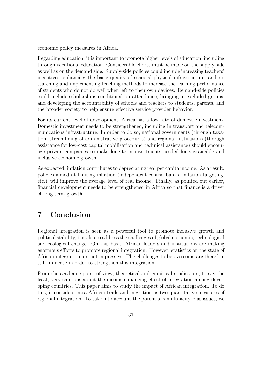economic policy measures in Africa.

Regarding education, it is important to promote higher levels of education, including through vocational education. Considerable efforts must be made on the supply side as well as on the demand side. Supply-side policies could include increasing teachers' incentives, enhancing the basic quality of schools' physical infrastructure, and researching and implementing teaching methods to increase the learning performance of students who do not do well when left to their own devices. Demand-side policies could include scholarships conditional on attendance, bringing in excluded groups, and developing the accountability of schools and teachers to students, parents, and the broader society to help ensure effective service provider behavior.

For its current level of development, Africa has a low rate of domestic investment. Domestic investment needs to be strengthened, including in transport and telecommunications infrastructure. In order to do so, national governments (through taxation, streamlining of administrative procedures) and regional institutions (through assistance for low-cost capital mobilization and technical assistance) should encourage private companies to make long-term investments needed for sustainable and inclusive economic growth.

As expected, inflation contributes to depreciating real per capita income. As a result, policies aimed at limiting inflation (independent central banks, inflation targeting, etc.) will improve the average level of real income. Finally, as pointed out earlier, financial development needs to be strengthened in Africa so that finance is a driver of long-term growth.

# <span id="page-31-0"></span>7 Conclusion

Regional integration is seen as a powerful tool to promote inclusive growth and political stability, but also to address the challenges of global economic, technological and ecological change. On this basis, African leaders and institutions are making enormous efforts to promote regional integration. However, statistics on the state of African integration are not impressive. The challenges to be overcome are therefore still immense in order to strengthen this integration.

From the academic point of view, theoretical and empirical studies are, to say the least, very cautious about the income-enhancing effect of integration among developing countries. This paper aims to study the impact of African integration. To do this, it considers intra-African trade and migration as two quantitative measures of regional integration. To take into account the potential simultaneity bias issues, we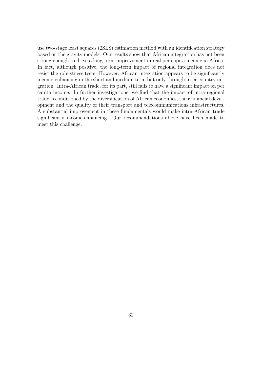use two-stage least squares (2SLS) estimation method with an identification strategy based on the gravity models. Our results show that African integration has not been strong enough to drive a long-term improvement in real per capita income in Africa. In fact, although positive, the long-term impact of regional integration does not resist the robustness tests. However, African integration appears to be significantly income-enhancing in the short and medium term but only through inter-country migration. Intra-African trade, for its part, still fails to have a significant impact on per capita income. In further investigations, we find that the impact of intra-regional trade is conditioned by the diversification of African economies, their financial development and the quality of their transport and telecommunications infrastructures. A substantial improvement in these fundamentals would make intra-African trade significantly income-enhancing. Our recommendations above have been made to meet this challenge.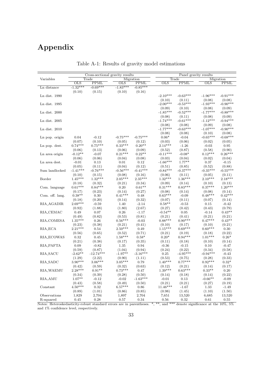# Appendix

<span id="page-33-0"></span>

|                                                                     |                 |             | Cross-sectional gravity results |             |                 |             | Panel gravity results                        |               |
|---------------------------------------------------------------------|-----------------|-------------|---------------------------------|-------------|-----------------|-------------|----------------------------------------------|---------------|
| Variables                                                           |                 | Trade       |                                 | Migration   |                 | Trade       | Migration                                    |               |
|                                                                     | $_{\text{OLS}}$ | <b>PPML</b> | <b>OLS</b>                      | <b>PPML</b> | $_{\text{OLS}}$ | <b>PPML</b> | $_{\text{OLS}}$                              | <b>PPML</b>   |
| Ln distance                                                         | $-1.32***$      | $-0.69***$  | $-1.83***$                      | $-0.85***$  |                 |             |                                              |               |
|                                                                     | (0.10)          | (0.15)      | (0.10)                          | (0.16)      |                 |             |                                              |               |
| Ln dist. $1990$                                                     |                 |             |                                 |             | $-2.10***$      | $-0.63***$  | $-1.96***$                                   | $-0.91***$    |
|                                                                     |                 |             |                                 |             | (0.10)          | (0.11)      | (0.08)                                       | (0.08)        |
| Ln dist. 1995                                                       |                 |             |                                 |             | $-2.00***$      | $-0.53***$  | $-1.93***$                                   | $-0.90***$    |
|                                                                     |                 |             |                                 |             | (0.09)          | (0.10)      | (0.08)                                       | (0.09)        |
| $Ln$ dist. $2000$                                                   |                 |             |                                 |             | $-1.85***$      | $-0.52***$  | $-1.77***$                                   | $-0.88***$    |
|                                                                     |                 |             |                                 |             | (0.08)          | (0.11)      | (0.08)                                       | (0.09)        |
| $Ln$ dist. $2005$                                                   |                 |             |                                 |             | $-1.74***$      | $-0.61***$  | $-1.12***$                                   | $-0.94***$    |
|                                                                     |                 |             |                                 |             | (0.08)          | (0.08)      | (0.09)                                       | (0.08)        |
| Ln dist. $2010$                                                     |                 |             |                                 |             | $-1.77***$      | $-0.63***$  | $-1.07***$                                   | $-0.90***$    |
|                                                                     |                 |             |                                 |             | (0.08)          | (0.08)      | (0.10)                                       | (0.08)        |
| Ln pop. origin                                                      | 0.04            | $-0.12$     | $-0.75***$                      | $-0.75***$  | $0.06*$         | $-0.04$     | $-0.65***$                                   | $-0.68***$    |
|                                                                     | (0.07)          | (0.10)      | (0.05)                          | (0.12)      | (0.03)          | (0.06)      | (0.02)                                       | (0.05)        |
| Ln pop. dest.                                                       | $0.74***$       | $0.75***$   | $0.33***$                       | $0.20**$    | $2.14***$       | $-1.26$     | $-0.03$                                      | $\rm 0.95$    |
|                                                                     | (0.06)          | (0.13)      | (0.06)                          | (0.09)      | (0.52)          | (0.87)      | (0.58)                                       | (0.90)        |
| Ln area origin                                                      | $-0.12**$       | $-0.07$     | $0.21***$                       | $0.22**$    | $-0.11***$      | $-0.08*$    | $0.12***$                                    | $0.26***$     |
|                                                                     | (0.06)          | (0.06)      | (0.04)                          | (0.08)      | (0.03)          | (0.04)      | (0.02)                                       | (0.04)        |
| Ln area dest.                                                       | $-0.01$         | 0.13        | $0.01\,$                        | 0.12        | $-1.66***$      | $1.77**$    | 0.37                                         | $-0.15$       |
|                                                                     | (0.05)          | (0.11)      | (0.04)                          | (0.12)      | (0.51)          | (0.85)      | (0.52)                                       | (0.88)        |
| Sum landlocked                                                      | $-1.41***$      | $-0.76***$  | $-0.56***$                      | $-0.41***$  | $-0.84***$      | $-0.37***$  | $-0.35***$                                   | $-0.55***$    |
|                                                                     | (0.10)          | (0.15)      | (0.08)                          | (0.16)      | (0.06)          | (0.11)      | (0.05)                                       | (0.11)        |
| Border                                                              | $1.45***$       | $1.32***$   | $2.05***$                       | $2.35***$   | $1.32***$       | $1.36***$   | $2.10***$                                    | $2.18***$     |
|                                                                     | (0.18)          | (0.32)      | (0.21)                          | (0.34)      | (0.09)          | (0.14)      | (0.10)                                       | (0.13)        |
| Com. language                                                       | $0.61***$       | $0.84***$   | $0.20\,$                        | $0.61**$    | $0.31***$       | $0.83***$   | $0.37***$                                    | $1.20***$     |
|                                                                     | (0.17)          | (0.23)      | (0.14)                          | (0.27)      | (0.08)          | (0.14)      | (0.08)                                       | (0.14)        |
| Com. off. lang.                                                     | $0.38**$        | 0.30        | $0.41***$                       | 0.48        | $0.63***$       | $-0.09$     | $0.48***$                                    | $0.42***$     |
|                                                                     | (0.18)          | (0.20)      | (0.14)                          | (0.32)      | (0.07)          | (0.11)      | (0.07)                                       | (0.14)        |
| $\operatorname{RIA}\nolimits$ AGADIR                                | $2.69***$       | $-0.59$     | 1.40                            | $-2.14$     | $0.58**$        | $-0.53$     | 0.15                                         | $-0.42$       |
|                                                                     | (0.92)          | (1.88)      | (1.80)                          | (2.67)      | (0.27)          | (0.42)      | (0.43)                                       | (0.79)        |
| RIA_CEMAC                                                           | 0.49            | 0.07        | $\rm 0.26$                      | $-1.17$     | $-0.54**$       | 0.05        | $-0.14$                                      | $0.43**$      |
|                                                                     | (0.49)          | (0.82)      | (0.53)                          | (0.81)      | (0.21)          | (0.41)      | (0.21)                                       | (0.21)        |
| RIA_COMESA                                                          | $1.35***$       | $\rm 0.26$  | $0.56***$                       | $-0.03$     | $0.88***$       | $0.90***$   | $0.47***$                                    | $0.43**$      |
|                                                                     | (0.23)          | (0.38)      | (0.21)                          | (0.41)      | (0.10)          | (0.17)      | (0.10)                                       | (0.21)        |
| RIA_ECA                                                             | $2.21***$       | 0.54        | $2.50***$                       | 0.49        | $1.15***$       | $0.69***$   | $0.60***$                                    | $0.30\,$      |
|                                                                     | (0.56)          | (0.65)      | (0.52)                          | (0.71)      | (0.21)          | (0.19)      | (0.18)                                       | (0.22)        |
| RIA_ECOWAS                                                          | 0.32            | 0.45        | $1.58***$                       | $0.58*$     | $0.20*$         | $0.94***$   | $1.01***$                                    | $0.26*$       |
|                                                                     | (0.21)          | (0.38)      | (0.17)                          | (0.35)      | (0.11)          | (0.18)      | (0.10)                                       | (0.14)        |
| RIA_PAFTA                                                           | 0.09            | $-0.82$     | 1.35                            | 0.94        | $-0.36$         | $-0.15$     | 0.10                                         | $-0.47$       |
|                                                                     | (0.59)          | (0.87)      | (1.04)                          | (0.94)      | (0.24)          | (0.22)      | (0.34)                                       | (0.58)        |
| <b>RIA_SACU</b>                                                     | $-2.62**$       | $-12.74***$ | $-1.97**$                       | $-3.16***$  | 0.25            | $-4.95***$  | $-0.94***$                                   | $-0.43$       |
|                                                                     | (1.29)          | (2.22)      | (0.90)                          | (1.11)      | (0.53)          | (0.75)      | (0.28)                                       | (0.33)        |
| RIA_SADC                                                            | $3.90***$       | $3.06***$   | $3.05***$                       | 0.79        | $1.40***$       | $0.77***$   | $0.92***$                                    | $0.32^{\ast}$ |
|                                                                     | (0.42)          | (0.59)      | (0.32)                          | (0.63)      | (0.12)          | (0.21)      | (0.14)                                       | (0.17)        |
| RIA_WAEMU                                                           | $2.28***$       | $0.91**$    | $0.73***$                       | 0.47        | $1.39***$       | $0.63***$   | $0.33**$                                     | 0.20          |
|                                                                     | (0.34)          | (0.39)      | (0.28)                          | (0.50)      | (0.14)          | (0.18)      | (0.14)                                       | (0.22)        |
| RIA_AMU                                                             | $1.07**$        | $-0.12$     | $-0.02$                         | $-1.63***$  | $-0.01$         | 0.13        | $-0.66**$                                    | $-0.09$       |
|                                                                     | (0.43)          | (0.58)      | (0.49)                          | (0.50)      | (0.21)          | (0.21)      | (0.27)                                       | (0.19)        |
| Constant                                                            | $4.50***$       | 0.32        | $6.57***$                       | 0.86        | $11.46***$      | -1.67       | 1.33                                         | $-1.49$       |
|                                                                     | (0.89)          | (1.01)      | (0.86)                          | (0.85)      | (0.98)          | (1.45)      | (1.10)                                       | (1.50)        |
| Observations                                                        | 1,829           | 2,704       | 1,897                           | 2,704       | 7,651           | 13,520      | 6,685                                        | 13,520        |
| R-squared                                                           | 0.45            | 0.28        | 0.57                            | 0.34        | 0.56            | 0.32        | 0.61                                         | $0.55\,$      |
| Notes: Heteroskedasticity-robust standard errors are in parentheses |                 |             |                                 |             | * **            |             | and *** denote significance at the $10\%$ 5% |               |

Table A-1: Results of gravity model estimations

Notes: Heteroskedasticity-robust standard errors are in parentheses. \*, \*\*, and \*\*\* denote significance at the 10%, 5% and 1% confidence level, respectively.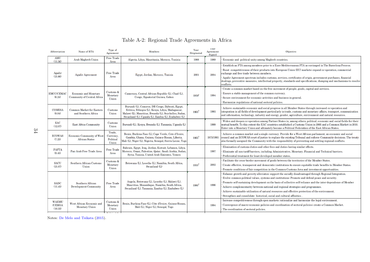| Abbreviation             | Name of RTA                                         | Type of<br>Agreement                     | Members                                                                                                                                                                                                             | Year<br>Originated | 1 ear<br>Agreement<br>Signed | Objective                                                                                                                                                                                                                                                                                                                                          |
|--------------------------|-----------------------------------------------------|------------------------------------------|---------------------------------------------------------------------------------------------------------------------------------------------------------------------------------------------------------------------|--------------------|------------------------------|----------------------------------------------------------------------------------------------------------------------------------------------------------------------------------------------------------------------------------------------------------------------------------------------------------------------------------------------------|
| AMU<br>(11.56)           | Arab Maghreb Union                                  | <b>Free Trade</b><br>Area                | Algeria, Libya, Mauritania, Morocco, Tunisia                                                                                                                                                                        | 1988               | 1989                         | Economic and political unity among Maghreb countries.                                                                                                                                                                                                                                                                                              |
|                          |                                                     |                                          |                                                                                                                                                                                                                     |                    |                              | Establish an FTA among members prior to a Euro-Mediterranean FTA as envisaged in The Barcelona Process.                                                                                                                                                                                                                                            |
| Agadir<br>(21.66)        | Agadir Agreement                                    | Free Trade<br>Area                       | Egypt, Jordan, Morocco, Tunisia                                                                                                                                                                                     | 2001               | 2004                         | Boost competitiveness of their products into European Union (EU) markets; expand co-operation, commercial<br>exchange and free trade between members.                                                                                                                                                                                              |
|                          |                                                     |                                          |                                                                                                                                                                                                                     |                    |                              | Agadir Agreement spectrum includes customs, services, certificates of origin, government purchases, financial<br>dealings, preventive measures, intellectual property, standards and specifications, dumping and mechanisms to resolve<br>conflicts.                                                                                               |
|                          |                                                     |                                          |                                                                                                                                                                                                                     |                    |                              | Create a common market based on the free movement of people, goods, capital and services.                                                                                                                                                                                                                                                          |
| <b>EMCC/CEMAC</b>        | <b>Economic and Monetary</b>                        | Customs &<br>Monetary                    | Cameroon, Central African Republic (L), Chad (L),                                                                                                                                                                   | $1959^1$           | 1994                         | Ensure a stable management of the common currency                                                                                                                                                                                                                                                                                                  |
| (6.24)                   | Community of Central Africa                         | Union                                    | Congo, Equatorial Guinea, Gabon                                                                                                                                                                                     |                    |                              | Secure environment for economic activities and business in general.                                                                                                                                                                                                                                                                                |
|                          |                                                     |                                          |                                                                                                                                                                                                                     |                    |                              | Harmonize regulations of national sectoral policies.                                                                                                                                                                                                                                                                                               |
| <b>COMESA</b><br>(8.04)  | Common Market for Eastern<br>and Southern Africa    | Customs<br>Union                         | Burundi (L), Comoros, DR Congo, Djibouti, Egypt,<br>Eritrea, Ethiopia (L), Kenya, Libya, Madagascar,<br>Malawi (L), Mauritius, Rwanda (L), Seychelles, Sudan<br>Swaziland (L), Uganda (L), Zambia (L), Zimbabwe (L) | $1965^2$           | 1993                         | Achieve sustainable economic and social progress in all Member States through increased co-operation and<br>integration in all fields of development particularly in trade, customs and monetary affairs, transport, communication<br>and information, technology, industry and energy, gender, agriculture, environment and natural resources.    |
| EAC<br>(12.07)           | <b>East Africa Community</b>                        | Customs<br>Union                         | Burundi (L), Kenya, Rwanda (L), Tanzania, Uganda (L)                                                                                                                                                                |                    | 1999                         | Widen and deepen co-operation among Partner States in, among others, political, economic and social fields for their<br>mutual benefit. To this extent the EAC countries established a Customs Union in 2005 and a Common Market in 2010.<br>Enter into a Monetary Union and ultimately become a Political Federation of the East African States.  |
| <b>ECOWAS</b><br>(7.23)  | Economic Community of West<br><b>African States</b> | Trade,<br>Currency<br>Political<br>Union | Benin, Burkina Faso (L), Cape Verde, Cote d'Ivoire,<br>Gambia, Ghana, Guinea, Guinea-Bissau, Liberia,<br>Mali (L), Niger (L), Nigeria, Senegal, Sierra Leone, Togo                                                  | $1965^3$           | 1975/1993                    | Achieve a common market and a single currency. Provide for a West African parliament, an economic and social<br>council and an ECOWAS court of justice to replace the existing Tribunal and enforce Community decisions. The treaty<br>also formally assigned the Community with the responsibility of preventing and settling regional conflicts. |
|                          |                                                     |                                          | Bahrain, Egypt, Iraq, Jordan, Kuwait, Lebanon, Libya,                                                                                                                                                               |                    |                              | Elimination of customs duties and other fees and duties having similar effects.                                                                                                                                                                                                                                                                    |
| <b>PAFTA</b><br>(9.45)   | Pan-Arab Free Trade Area                            | <b>Free Trade</b><br>Area                | Morocco, Oman, Palestine, Qatar, Saudi Arabia, Sudan,                                                                                                                                                               |                    | 1997                         | Eliminate all non tariff barriers, including Administrative, Monetary, Financial and Technical barriers.                                                                                                                                                                                                                                           |
|                          |                                                     |                                          | Syria, Tunisia, United Arab Emirates, Yemen                                                                                                                                                                         |                    |                              | Preferential treatment for least developed member states.                                                                                                                                                                                                                                                                                          |
| <b>SACU</b>              | Southern African Customs                            | $C$ ustoms $\&$                          | Botswana (L), Lesotho (L), Namibia, South Africa,                                                                                                                                                                   |                    |                              | Facilitate the cross-border movement of goods between the territories of the Member States.                                                                                                                                                                                                                                                        |
| (21.07)                  | Union                                               | Monetary                                 | Swaziland (L)                                                                                                                                                                                                       | $1910^3$           | 2002                         | Create effective, transparent and democratic institutions to ensure equitable trade benefits to Member States.                                                                                                                                                                                                                                     |
|                          |                                                     | Union                                    |                                                                                                                                                                                                                     |                    |                              | Promote conditions of fair competition in the Common Customs Area and investment opportunities.                                                                                                                                                                                                                                                    |
|                          |                                                     |                                          |                                                                                                                                                                                                                     |                    |                              | Enhance growth and poverty alleviaton; support the socially disadvantaged through Regional Integration.                                                                                                                                                                                                                                            |
|                          |                                                     |                                          | Angola, Botswana (L), Lesotho (L), Malawi (L),                                                                                                                                                                      |                    |                              | Evolve common political values, systems and institutions; Promote and defend peace and security.                                                                                                                                                                                                                                                   |
| <b>SADC</b>              | Southern African                                    | Free Trade                               | Mauritius, Mozambique, Namibia, South Africa,                                                                                                                                                                       | $1980^{4}$         | 1996                         | Promote self-sustaining development on the basis of collective self-reliance and the inter-dependence of Member                                                                                                                                                                                                                                    |
| (11.45)                  | Development Community                               | Area                                     | Swaziland (L), Tanzania, Zambia (L), Zimbabwe (L)                                                                                                                                                                   |                    |                              | Achieve complementarity between national and regional strategies and programmes                                                                                                                                                                                                                                                                    |
|                          |                                                     |                                          |                                                                                                                                                                                                                     |                    |                              | Achieve sustainable utilisation of natural resources and effective protection of the environment.                                                                                                                                                                                                                                                  |
|                          |                                                     |                                          |                                                                                                                                                                                                                     |                    |                              | Strengthen and consolidate historical, social and cultural affinities.<br>Increase competitiveness through open markets; rationalize and harmonize the legal environment.                                                                                                                                                                          |
| <b>WAEMU</b>             | West African Economic and                           | Customs &                                | Benin, Burkina Faso (L), Côte d'Ivoire, Guinea-Bissau                                                                                                                                                               |                    |                              | Convergence of macro-economic policies and coordination of sectoral policies; create a Common Market.                                                                                                                                                                                                                                              |
| <b>/UEMOA</b><br>(10.33) | Monetary Union                                      | Monetary<br>Union                        | Mali (L), Niger (L), Senegal, Togo                                                                                                                                                                                  |                    | 1994                         | The coordination of sectoral policies.                                                                                                                                                                                                                                                                                                             |
|                          |                                                     | months and a                             |                                                                                                                                                                                                                     |                    |                              |                                                                                                                                                                                                                                                                                                                                                    |

## Table A-2: Regional Trade Agreements in Africa

<span id="page-34-0"></span>Notes: De Melo and [Tsikata](#page-36-16) [\(2015\)](#page-36-16).

34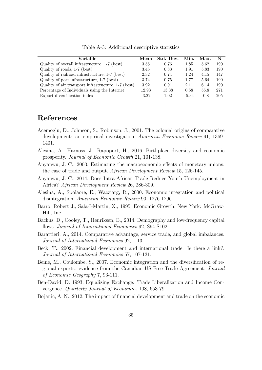<span id="page-35-7"></span>

| Variable                                            | Mean    | Std. Dev. | Min.  | Max.   | N   |
|-----------------------------------------------------|---------|-----------|-------|--------|-----|
| Quality of overall infrastructure, 1-7 (best)       | 3.55    | 0.76      | 1.85  | 5.62   | 190 |
| Quality of roads, 1-7 (best)                        | 3.45    | 0.83      | 1.91  | 5.83   | 190 |
| Quality of railroad infrastructure, 1-7 (best)      | 2.32    | 0.74      | 1.24  | 4.15   | 147 |
| Quality of port infrastructure, 1-7 (best)          | 3.74    | 0.75      | 1.77  | 5.64   | 190 |
| Quality of air transport infrastructure, 1-7 (best) | 3.92    | 0.91      | 2.11  | 6.14   | 190 |
| Percentage of Individuals using the Internet        | 12.93   | 13.38     | 0.58  | 56.8   | 271 |
| Export diversification index                        | $-3.22$ | 1.02      | -5.34 | $-0.8$ | 205 |

Table A-3: Additional descriptive statistics

## References

- <span id="page-35-6"></span>Acemoglu, D., Johnson, S., Robinson, J., 2001. The colonial origins of comparative development: an empirical investigation. American Economic Review 91, 1369- 1401.
- <span id="page-35-3"></span>Alesina, A., Harnoss, J., Rapoport, H., 2016. Birthplace diversity and economic prosperity. Journal of Economic Growth 21, 101-138.
- <span id="page-35-0"></span>Anyanwu, J. C., 2003. Estimating the macroeconomic effects of monetary unions: the case of trade and output. African Development Review 15, 126-145.
- <span id="page-35-1"></span>Anyanwu, J. C., 2014. Does Intra-African Trade Reduce Youth Unemployment in Africa? African Development Review 26, 286-309.
- <span id="page-35-4"></span>Alesina, A., Spolaore, E., Wacziarg, R., 2000. Economic integration and political disintegration. American Economic Review 90, 1276-1296.
- <span id="page-35-5"></span>Barro, Robert J., Sala-I-Martin, X., 1995. Economic Growth. New York: McGraw-Hill, Inc.
- Backus, D., Cooley, T., Henriksen, E., 2014. Demography and low-frequency capital flows. Journal of International Economics 92, S94-S102.
- Barattieri, A., 2014. Comparative advantage, service trade, and global imbalances. Journal of International Economics 92, 1-13.
- <span id="page-35-9"></span>Beck, T., 2002. Financial development and international trade: Is there a link?. Journal of International Economics 57, 107-131.
- <span id="page-35-8"></span>Beine, M., Coulombe, S., 2007. Economic integration and the diversification of regional exports: evidence from the Canadian-US Free Trade Agreement. Journal of Economic Geography 7, 93-111.
- <span id="page-35-2"></span>Ben-David, D. 1993. Equalizing Exchange: Trade Liberalization and Income Convergence. Quarterly Journal of Economics 108, 653-79.
- <span id="page-35-10"></span>Bojanic, A. N., 2012. The impact of financial development and trade on the economic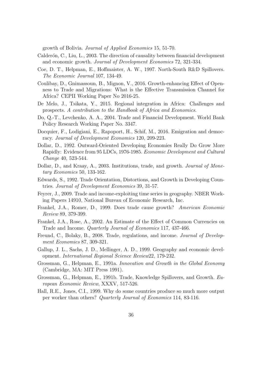<span id="page-36-16"></span>growth of Bolivia. Journal of Applied Economics 15, 51-70.

- <span id="page-36-14"></span>Calderón, C., Liu, L., 2003. The direction of causality between financial development and economic growth. Journal of Development Economics 72, 321-334.
- <span id="page-36-7"></span>Coe, D. T., Helpman, E., Hoffmaister, A. W., 1997. North-South R&D Spillovers. The Economic Journal 107, 134-49.
- <span id="page-36-12"></span>Coulibay, D., Gnimassoun, B., Mignon, V., 2016. Growth-enhancing Effect of Openness to Trade and Migrations: What is the Effective Transmission Channel for Africa? CEPII Working Paper No 2016-25.
- De Melo, J., Tsikata, Y., 2015. Regional integration in Africa: Challenges and prospects. A contribution to the Handbook of Africa and Economics.
- <span id="page-36-15"></span>Do, Q.-T., Levchenko, A. A., 2004. Trade and Financial Development. World Bank Policy Research Working Paper No. 3347.
- <span id="page-36-9"></span>Docquier, F., Lodigiani, E., Rapoport, H., Schif, M., 2016. Emigration and democracy. Journal of Development Economics 120, 209-223.
- <span id="page-36-0"></span>Dollar, D., 1992. Outward-Oriented Developing Economies Really Do Grow More Rapidly: Evidence from 95 LDCs, 1976-1985. Economic Development and Cultural Change 40, 523-544.
- <span id="page-36-3"></span>Dollar, D., and Kraay, A., 2003. Institutions, trade, and growth. *Journal of Mone*tary Economics 50, 133-162.
- <span id="page-36-1"></span>Edwards, S., 1992. Trade Orientation, Distortions, and Growth in Developing Countries. Journal of Development Economics 39, 31-57.
- <span id="page-36-11"></span>Feyrer, J., 2009. Trade and income-exploiting time series in geography. NBER Working Papers 14910, National Bureau of Economic Research, Inc.
- <span id="page-36-8"></span>Frankel, J.A., Romer, D., 1999. Does trade cause growth? American Economic Review 89, 379-399.
- <span id="page-36-2"></span>Frankel, J.A., Rose, A., 2002. An Estimate of the Effect of Common Currencies on Trade and Income. Quarterly Journal of Economics 117, 437-466.
- <span id="page-36-4"></span>Freund, C., Bolaky, B., 2008. Trade, regulations, and income. *Journal of Develop*ment Economics 87, 309-321.
- <span id="page-36-10"></span>Gallup, J. L., Sachs, J. D., Mellinger, A. D., 1999. Geography and economic development. International Regional Science Review22, 179-232.
- <span id="page-36-5"></span>Grossman, G., Helpman, E., 1991a. Innovation and Growth in the Global Economy (Cambridge, MA: MIT Press 1991).
- <span id="page-36-6"></span>Grossman, G., Helpman, E., 1991b. Trade, Knowledge Spillovers, and Growth. European Economic Review, XXXV, 517-526.
- <span id="page-36-13"></span>Hall, R.E., Jones, C.I., 1999. Why do some countries produce so much more output per worker than others? Quarterly Journal of Economics 114, 83-116.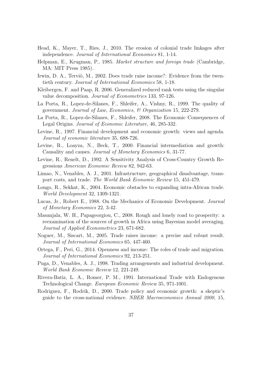- <span id="page-37-11"></span>Head, K., Mayer, T., Ries, J., 2010. The erosion of colonial trade linkages after independence. Journal of International Economics 81, 1-14.
- <span id="page-37-5"></span>Helpman, E., Krugman, P., 1985. Market structure and foreign trade (Cambridge, MA: MIT Press 1985).
- <span id="page-37-8"></span>Irwin, D. A., Terviö, M., 2002. Does trade raise income?: Evidence from the twentieth century. Journal of International Economics 58, 1-18.
- <span id="page-37-12"></span>Kleibergen, F. and Paap, R. 2006. Generalized reduced rank tests using the singular value decomposition. Journal of Econometrics 133, 97-126.
- <span id="page-37-13"></span>La Porta, R., Lopez-de-Silanes, F., Shleifer, A., Vishny, R., 1999. The quality of government. Journal of Law, Economics, & Organization 15, 222-279.
- <span id="page-37-14"></span>La Porta, R., Lopez-de-Silanes, F., Shleifer, 2008. The Economic Consequences of Legal Origins. Journal of Economic Literature, 46, 285-332.
- <span id="page-37-16"></span>Levine, R., 1997. Financial development and economic growth: views and agenda. Journal of economic literature 35, 688-726.
- Levine, R., Loayza, N., Beck, T., 2000. Financial intermediation and growth: Causality and causes. Journal of Monetary Economics 6, 31-77.
- <span id="page-37-7"></span>Levine, R., Renelt, D., 1992. A Sensitivity Analysis of Cross-Country Growth Regressions American Economic Review 82, 942-63.
- <span id="page-37-0"></span>Limao, N., Venables, A. J., 2001. Infrastructure, geographical disadvantage, transport costs, and trade. The World Bank Economic Review 15, 451-479.
- <span id="page-37-1"></span>Longo, R., Sekkat, K., 2004. Economic obstacles to expanding intra-African trade. World Development 32, 1309-1321.
- <span id="page-37-6"></span>Lucas, Jr., Robert E., 1988. On the Mechanics of Economic Development. Journal of Monetary Economics 22, 3-42.
- <span id="page-37-15"></span>Masanjala, W. H., Papageorgiou, C., 2008. Rough and lonely road to prosperity: a reexamination of the sources of growth in Africa using Bayesian model averaging. Journal of Applied Econometrics 23, 671-682.
- <span id="page-37-2"></span>Noguer, M., Siscart, M., 2005. Trade raises income: a precise and robust result. Journal of International Economics 65, 447-460.
- <span id="page-37-4"></span>Ortega, F., Peri, G., 2014. Openness and income: The roles of trade and migration. Journal of International Economics 92, 213-251.
- <span id="page-37-10"></span>Puga, D., Venables, A. J., 1998. Trading arrangements and industrial development. World Bank Economic Review 12, 221-249.
- <span id="page-37-3"></span>Rivera-Batiz, L. A., Romer, P. M., 1991. International Trade with Endogenous Technological Change. European Economic Review 35, 971-1001.
- <span id="page-37-9"></span>Rodriguez, F., Rodrik, D., 2000. Trade policy and economic growth: a skeptic's guide to the cross-national evidence. NBER Macroeconomics Annual 2000, 15,